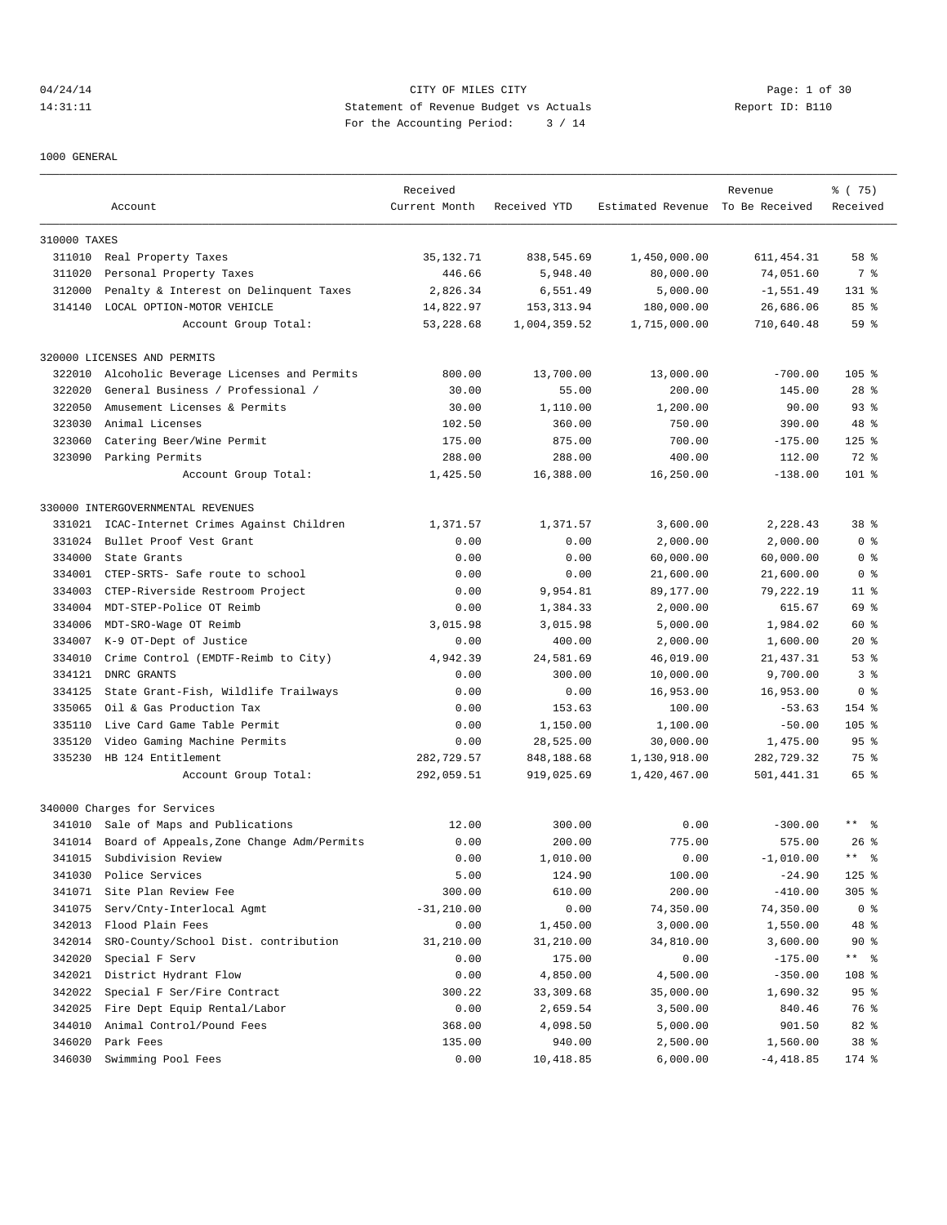# 04/24/14 Page: 1 of 30 14:31:11 Statement of Revenue Budget vs Actuals Report ID: B110 For the Accounting Period: 3 / 14

1000 GENERAL

|              |                                                    | Received               |                             |                                  | Revenue                 | % (75)                 |
|--------------|----------------------------------------------------|------------------------|-----------------------------|----------------------------------|-------------------------|------------------------|
|              | Account                                            | Current Month          | Received YTD                | Estimated Revenue To Be Received |                         | Received               |
|              |                                                    |                        |                             |                                  |                         |                        |
| 310000 TAXES |                                                    |                        |                             |                                  |                         |                        |
| 311010       | Real Property Taxes                                | 35, 132. 71            | 838,545.69                  | 1,450,000.00                     | 611, 454.31             | 58 %                   |
| 311020       | Personal Property Taxes                            | 446.66                 | 5,948.40                    | 80,000.00                        | 74,051.60               | 7 %                    |
| 312000       | Penalty & Interest on Delinquent Taxes             | 2,826.34               | 6,551.49                    | 5,000.00                         | $-1,551.49$             | $131$ %                |
| 314140       | LOCAL OPTION-MOTOR VEHICLE<br>Account Group Total: | 14,822.97<br>53,228.68 | 153, 313.94<br>1,004,359.52 | 180,000.00<br>1,715,000.00       | 26,686.06<br>710,640.48 | 85%<br>59%             |
|              |                                                    |                        |                             |                                  |                         |                        |
|              | 320000 LICENSES AND PERMITS                        |                        |                             |                                  |                         |                        |
| 322010       | Alcoholic Beverage Licenses and Permits            | 800.00                 | 13,700.00                   | 13,000.00                        | $-700.00$               | $105$ %                |
| 322020       | General Business / Professional /                  | 30.00                  | 55.00                       | 200.00                           | 145.00                  | $28$ %                 |
| 322050       | Amusement Licenses & Permits                       | 30.00                  | 1,110.00                    | 1,200.00                         | 90.00                   | 93 <sup>8</sup>        |
| 323030       | Animal Licenses                                    | 102.50                 | 360.00                      | 750.00                           | 390.00                  | 48 %                   |
| 323060       | Catering Beer/Wine Permit                          | 175.00                 | 875.00                      | 700.00                           | $-175.00$               | $125$ %                |
|              | 323090 Parking Permits                             | 288.00                 | 288.00                      | 400.00                           | 112.00                  | 72 %                   |
|              | Account Group Total:                               | 1,425.50               | 16,388.00                   | 16,250.00                        | $-138.00$               | 101 %                  |
|              | 330000 INTERGOVERNMENTAL REVENUES                  |                        |                             |                                  |                         |                        |
| 331021       | ICAC-Internet Crimes Against Children              | 1,371.57               | 1,371.57                    | 3,600.00                         | 2,228.43                | 38 <sup>8</sup>        |
| 331024       | Bullet Proof Vest Grant                            | 0.00                   | 0.00                        | 2,000.00                         | 2,000.00                | 0 <sup>8</sup>         |
| 334000       | State Grants                                       | 0.00                   | 0.00                        | 60,000.00                        | 60,000.00               | 0 <sub>8</sub>         |
| 334001       | CTEP-SRTS- Safe route to school                    | 0.00                   | 0.00                        | 21,600.00                        | 21,600.00               | 0 %                    |
| 334003       | CTEP-Riverside Restroom Project                    | 0.00                   | 9,954.81                    | 89,177.00                        | 79,222.19               | $11$ %                 |
| 334004       | MDT-STEP-Police OT Reimb                           | 0.00                   | 1,384.33                    | 2,000.00                         | 615.67                  | 69 %                   |
| 334006       | MDT-SRO-Wage OT Reimb                              | 3,015.98               | 3,015.98                    | 5,000.00                         | 1,984.02                | 60 %                   |
| 334007       | K-9 OT-Dept of Justice                             | 0.00                   | 400.00                      | 2,000.00                         | 1,600.00                | $20*$                  |
| 334010       | Crime Control (EMDTF-Reimb to City)                | 4,942.39               | 24,581.69                   | 46,019.00                        | 21, 437.31              | 53%                    |
|              |                                                    |                        |                             |                                  |                         |                        |
| 334121       | DNRC GRANTS                                        | 0.00                   | 300.00                      | 10,000.00                        | 9,700.00                | 3 <sup>8</sup>         |
| 334125       | State Grant-Fish, Wildlife Trailways               | 0.00                   | 0.00                        | 16,953.00                        | 16,953.00               | 0 <sub>8</sub>         |
| 335065       | Oil & Gas Production Tax                           | 0.00                   | 153.63                      | 100.00                           | $-53.63$                | 154 %                  |
| 335110       | Live Card Game Table Permit                        | 0.00                   | 1,150.00                    | 1,100.00                         | $-50.00$                | $105$ %                |
| 335120       | Video Gaming Machine Permits                       | 0.00                   | 28,525.00                   | 30,000.00                        | 1,475.00                | 95%                    |
| 335230       | HB 124 Entitlement                                 | 282,729.57             | 848,188.68                  | 1,130,918.00                     | 282,729.32              | 75 %                   |
|              | Account Group Total:                               | 292,059.51             | 919,025.69                  | 1,420,467.00                     | 501,441.31              | 65 %                   |
|              | 340000 Charges for Services                        |                        |                             |                                  |                         |                        |
|              | 341010 Sale of Maps and Publications               | 12.00                  | 300.00                      | 0.00                             | $-300.00$               | $***$ %                |
| 341014       | Board of Appeals, Zone Change Adm/Permits          | 0.00                   | 200.00                      | 775.00                           | 575.00                  | $26$ %                 |
| 341015       | Subdivision Review                                 | 0.00                   | 1,010.00                    | 0.00                             | $-1.010.00$             | $\star$ $\star$<br>ু ৯ |
| 341030       | Police Services                                    | 5.00                   | 124.90                      | 100.00                           | $-24.90$                | $125$ %                |
| 341071       | Site Plan Review Fee                               | 300.00                 | 610.00                      | 200.00                           | $-410.00$               | $305$ %                |
| 341075       | Serv/Cnty-Interlocal Agmt                          | $-31, 210.00$          | 0.00                        | 74,350.00                        | 74,350.00               | 0 <sub>8</sub>         |
| 342013       | Flood Plain Fees                                   | 0.00                   | 1,450.00                    | 3,000.00                         | 1,550.00                | 48 %                   |
| 342014       | SRO-County/School Dist. contribution               | 31,210.00              | 31,210.00                   | 34,810.00                        | 3,600.00                | 90%                    |
| 342020       | Special F Serv                                     | 0.00                   | 175.00                      | 0.00                             | $-175.00$               | ** %                   |
| 342021       | District Hydrant Flow                              | 0.00                   | 4,850.00                    | 4,500.00                         | $-350.00$               | 108 %                  |
| 342022       | Special F Ser/Fire Contract                        | 300.22                 | 33,309.68                   | 35,000.00                        | 1,690.32                | 95%                    |
| 342025       | Fire Dept Equip Rental/Labor                       | 0.00                   | 2,659.54                    | 3,500.00                         | 840.46                  | 76 %                   |
| 344010       | Animal Control/Pound Fees                          | 368.00                 | 4,098.50                    | 5,000.00                         | 901.50                  | 82 %                   |
| 346020       | Park Fees                                          | 135.00                 | 940.00                      | 2,500.00                         | 1,560.00                | 38 %                   |
| 346030       | Swimming Pool Fees                                 | 0.00                   | 10,418.85                   | 6,000.00                         | $-4,418.85$             | 174 %                  |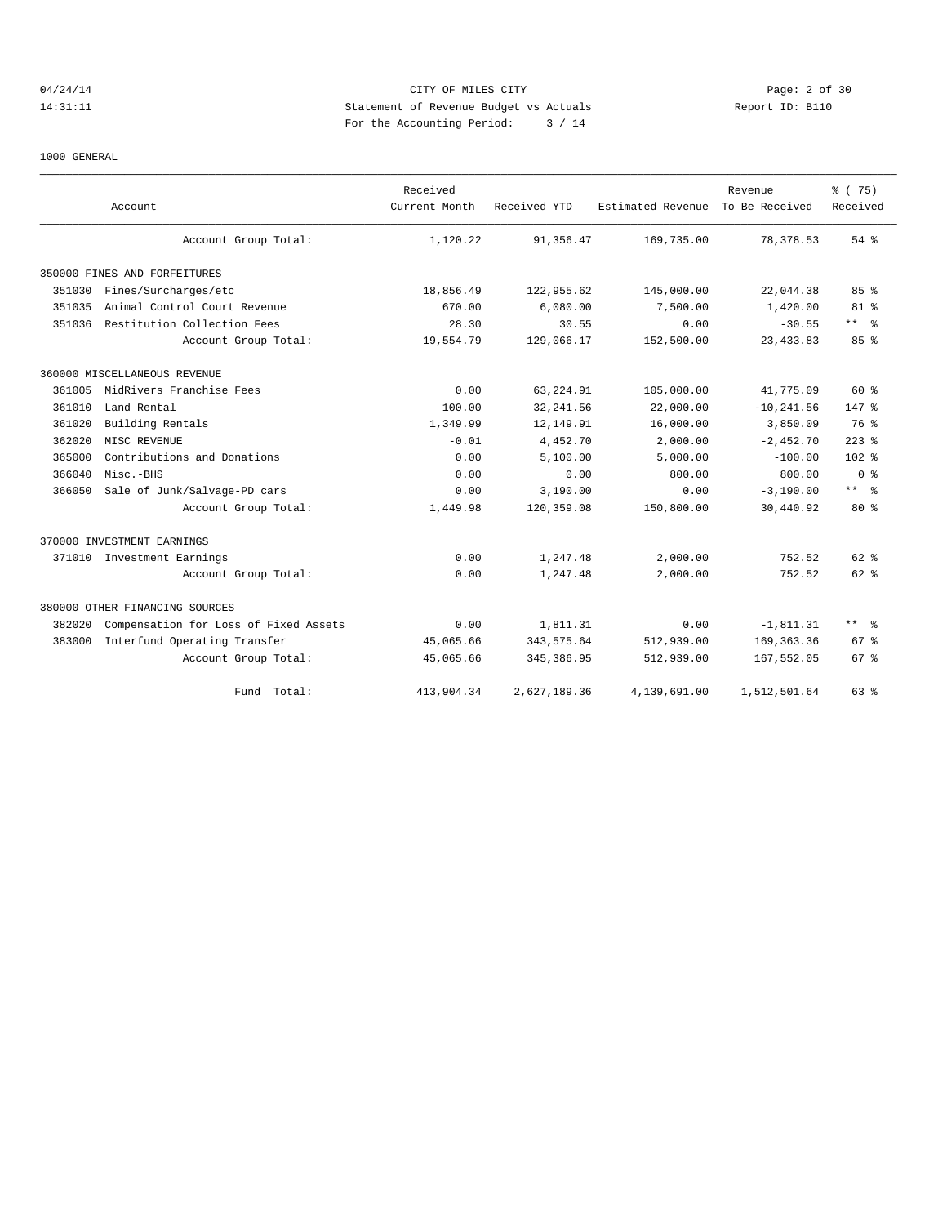# 04/24/14 Page: 2 of 30 14:31:11 Statement of Revenue Budget vs Actuals Report ID: B110 For the Accounting Period: 3 / 14

#### 1000 GENERAL

|        | Account                               | Received<br>Current Month | Received YTD | Estimated Revenue | Revenue<br>To Be Received | % (75)<br>Received      |  |
|--------|---------------------------------------|---------------------------|--------------|-------------------|---------------------------|-------------------------|--|
|        | Account Group Total:                  | 1,120.22                  | 91,356.47    | 169,735.00        | 78, 378.53                | $54$ $%$                |  |
|        | 350000 FINES AND FORFEITURES          |                           |              |                   |                           |                         |  |
| 351030 | Fines/Surcharges/etc                  | 18,856.49                 | 122,955.62   | 145,000.00        | 22,044.38                 | 85%                     |  |
| 351035 | Animal Control Court Revenue          | 670.00                    | 6,080.00     | 7,500.00          | 1,420.00                  | $81$ %                  |  |
| 351036 | Restitution Collection Fees           | 28.30                     | 30.55        | 0.00              | $-30.55$                  | $***$ $ -$              |  |
|        | Account Group Total:                  | 19,554.79                 | 129,066.17   | 152,500.00        | 23, 433.83                | 85%                     |  |
|        | 360000 MISCELLANEOUS REVENUE          |                           |              |                   |                           |                         |  |
| 361005 | MidRivers Franchise Fees              | 0.00                      | 63, 224.91   | 105,000.00        | 41,775.09                 | 60 %                    |  |
| 361010 | Land Rental                           | 100.00                    | 32, 241.56   | 22,000.00         | $-10, 241.56$             | $147$ %                 |  |
| 361020 | Building Rentals                      | 1,349.99                  | 12,149.91    | 16,000.00         | 3,850.09                  | 76 %                    |  |
| 362020 | MISC REVENUE                          | $-0.01$                   | 4,452.70     | 2,000.00          | $-2,452.70$               | $223$ %                 |  |
| 365000 | Contributions and Donations           | 0.00                      | 5,100.00     | 5,000.00          | $-100.00$                 | 102 <sub>8</sub>        |  |
| 366040 | $Misc.-BHS$                           | 0.00                      | 0.00         | 800.00            | 800.00                    | 0 <sup>8</sup>          |  |
| 366050 | Sale of Junk/Salvage-PD cars          | 0.00                      | 3,190.00     | 0.00              | $-3,190.00$               | $***$ $=$ $\frac{6}{3}$ |  |
|        | Account Group Total:                  | 1,449.98                  | 120,359.08   | 150,800.00        | 30,440.92                 | $80*$                   |  |
|        | 370000 INVESTMENT EARNINGS            |                           |              |                   |                           |                         |  |
|        | 371010 Investment Earnings            | 0.00                      | 1,247.48     | 2,000.00          | 752.52                    | $62$ $%$                |  |
|        | Account Group Total:                  | 0.00                      | 1,247.48     | 2,000.00          | 752.52                    | $62$ $%$                |  |
|        | 380000 OTHER FINANCING SOURCES        |                           |              |                   |                           |                         |  |
| 382020 | Compensation for Loss of Fixed Assets | 0.00                      | 1,811.31     | 0.00              | $-1,811.31$               | $***$ 8                 |  |
| 383000 | Interfund Operating Transfer          | 45,065.66                 | 343, 575.64  | 512,939.00        | 169, 363. 36              | 67 <sup>8</sup>         |  |
|        | Account Group Total:                  | 45,065.66                 | 345, 386.95  | 512,939.00        | 167,552.05                | 67 <sup>8</sup>         |  |
|        | Total:<br>Fund                        | 413,904.34                | 2,627,189.36 | 4,139,691.00      | 1,512,501.64              | $63$ $%$                |  |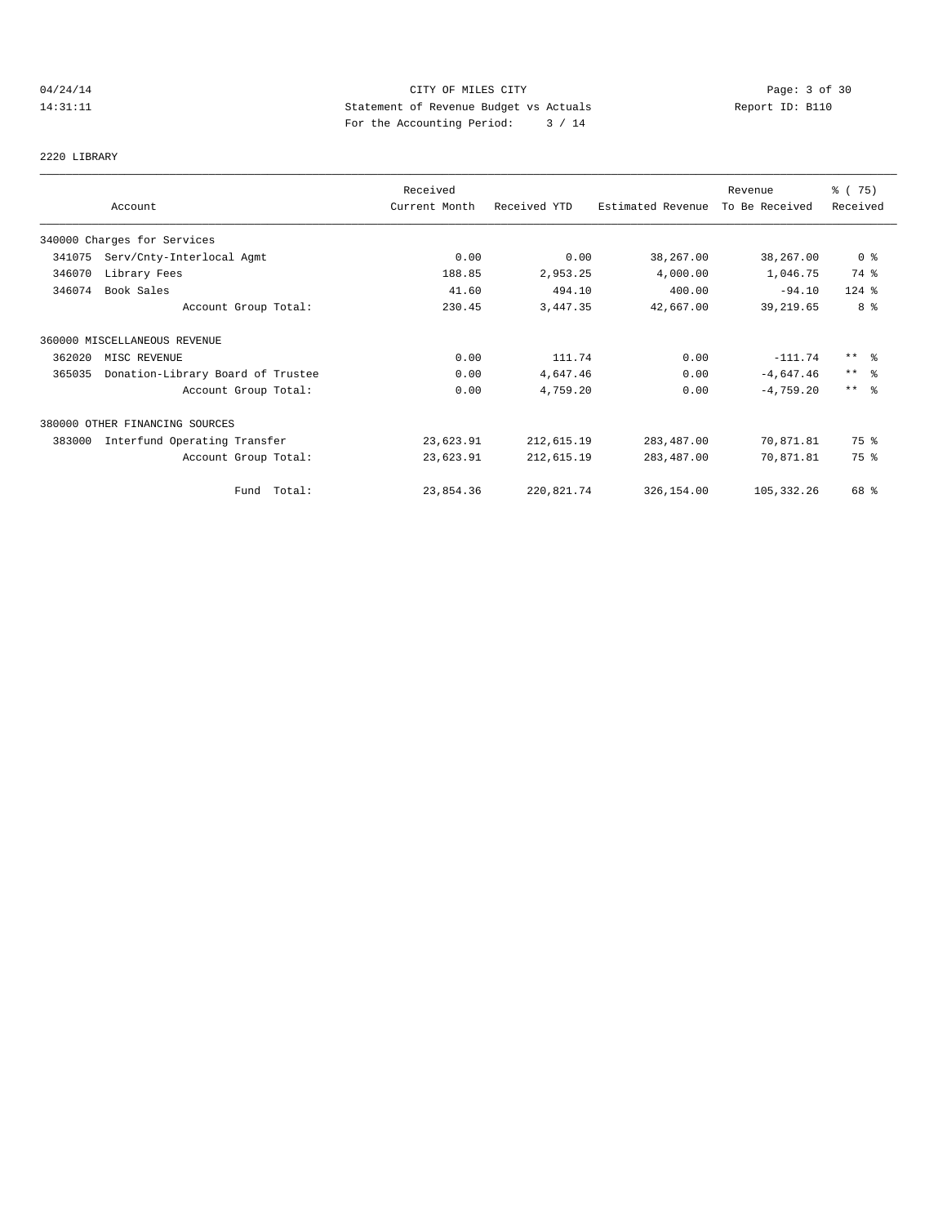# 04/24/14 Page: 3 of 30 14:31:11 Statement of Revenue Budget vs Actuals Report ID: B110 For the Accounting Period: 3 / 14

# 2220 LIBRARY

|        |                                   | Received      |              |                   | Revenue        | 8 (75)          |
|--------|-----------------------------------|---------------|--------------|-------------------|----------------|-----------------|
|        | Account                           | Current Month | Received YTD | Estimated Revenue | To Be Received | Received        |
|        | 340000 Charges for Services       |               |              |                   |                |                 |
| 341075 | Serv/Cnty-Interlocal Agmt         | 0.00          | 0.00         | 38,267.00         | 38,267.00      | 0 <sub>8</sub>  |
| 346070 | Library Fees                      | 188.85        | 2,953.25     | 4,000.00          | 1,046.75       | 74 %            |
| 346074 | Book Sales                        | 41.60         | 494.10       | 400.00            | $-94.10$       | $124$ $%$       |
|        | Account Group Total:              | 230.45        | 3,447.35     | 42,667.00         | 39,219.65      | 8 %             |
|        | 360000 MISCELLANEOUS REVENUE      |               |              |                   |                |                 |
| 362020 | MISC REVENUE                      | 0.00          | 111.74       | 0.00              | $-111.74$      | $***$ $\approx$ |
| 365035 | Donation-Library Board of Trustee | 0.00          | 4,647.46     | 0.00              | $-4,647.46$    | $***$ $\approx$ |
|        | Account Group Total:              | 0.00          | 4,759.20     | 0.00              | $-4,759.20$    | $***$ $\approx$ |
|        | 380000 OTHER FINANCING SOURCES    |               |              |                   |                |                 |
| 383000 | Interfund Operating Transfer      | 23,623.91     | 212,615.19   | 283,487.00        | 70,871.81      | 75 %            |
|        | Account Group Total:              | 23,623.91     | 212,615.19   | 283,487.00        | 70,871.81      | 75 %            |
|        | Fund Total:                       | 23,854.36     | 220,821.74   | 326,154.00        | 105, 332.26    | 68 %            |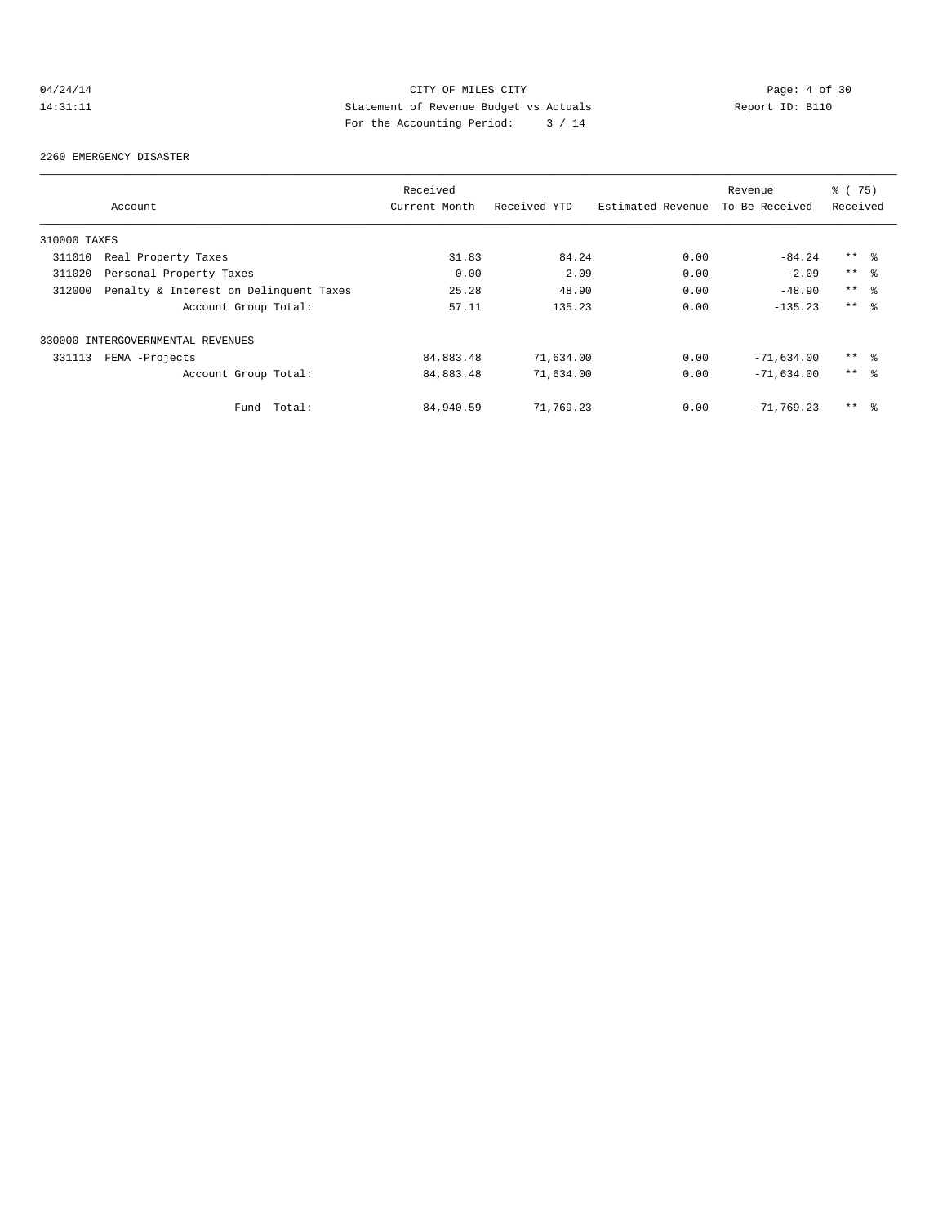# 04/24/14 Page: 4 of 30 14:31:11 Statement of Revenue Budget vs Actuals Report ID: B110 For the Accounting Period: 3 / 14

#### 2260 EMERGENCY DISASTER

|              |                                        | Received      |              |                   | Revenue        | % (75)          |  |
|--------------|----------------------------------------|---------------|--------------|-------------------|----------------|-----------------|--|
|              | Account                                | Current Month | Received YTD | Estimated Revenue | To Be Received | Received        |  |
| 310000 TAXES |                                        |               |              |                   |                |                 |  |
| 311010       | Real Property Taxes                    | 31.83         | 84.24        | 0.00              | $-84.24$       | $***$ %         |  |
| 311020       | Personal Property Taxes                | 0.00          | 2.09         | 0.00              | $-2.09$        | $***$ 8         |  |
| 312000       | Penalty & Interest on Delinquent Taxes | 25.28         | 48.90        | 0.00              | $-48.90$       | $***$ %         |  |
|              | Account Group Total:                   | 57.11         | 135.23       | 0.00              | $-135.23$      | $***$ $ -$      |  |
|              | 330000 INTERGOVERNMENTAL REVENUES      |               |              |                   |                |                 |  |
| 331113       | FEMA -Projects                         | 84,883.48     | 71,634.00    | 0.00              | $-71,634.00$   | $***$ %         |  |
|              | Account Group Total:                   | 84,883.48     | 71,634.00    | 0.00              | $-71,634.00$   | $***$ $ -$      |  |
|              | Total:<br>Fund                         | 84,940.59     | 71,769.23    | 0.00              | $-71,769,23$   | $***$ $\approx$ |  |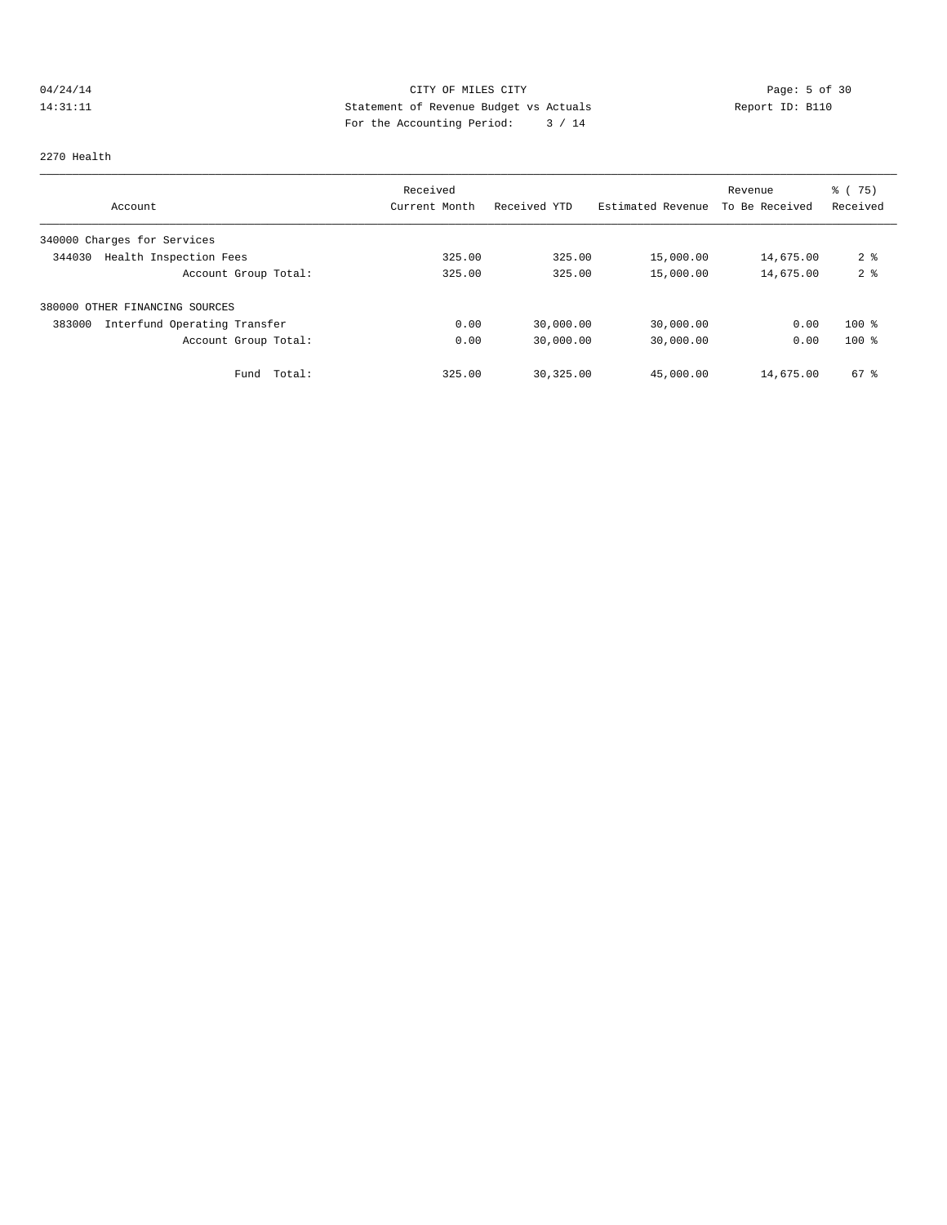# 04/24/14 CITY OF MILES CITY Page: 5 of 30<br>14:31:11 Statement of Revenue Budget vs Actuals Report ID: B110<br>2.4.14 Pays the Accumulate Device: 2.4.14 14:31:11 Statement of Revenue Budget vs Actuals Report ID: B110 For the Accounting Period: 3 / 14

#### 2270 Health

|                                        | Received      |              |                   | Revenue        | % (75)<br>Received |
|----------------------------------------|---------------|--------------|-------------------|----------------|--------------------|
| Account                                | Current Month | Received YTD | Estimated Revenue | To Be Received |                    |
| 340000 Charges for Services            |               |              |                   |                |                    |
| 344030<br>Health Inspection Fees       | 325.00        | 325.00       | 15,000.00         | 14,675.00      | 2 <sup>8</sup>     |
| Account Group Total:                   | 325.00        | 325.00       | 15,000.00         | 14,675.00      | 2 <sup>°</sup>     |
| 380000 OTHER FINANCING SOURCES         |               |              |                   |                |                    |
| 383000<br>Interfund Operating Transfer | 0.00          | 30,000.00    | 30,000.00         | 0.00           | $100*$             |
| Account Group Total:                   | 0.00          | 30,000.00    | 30,000.00         | 0.00           | $100*$             |
| Total:<br>Fund                         | 325.00        | 30, 325, 00  | 45,000.00         | 14,675.00      | $67$ $%$           |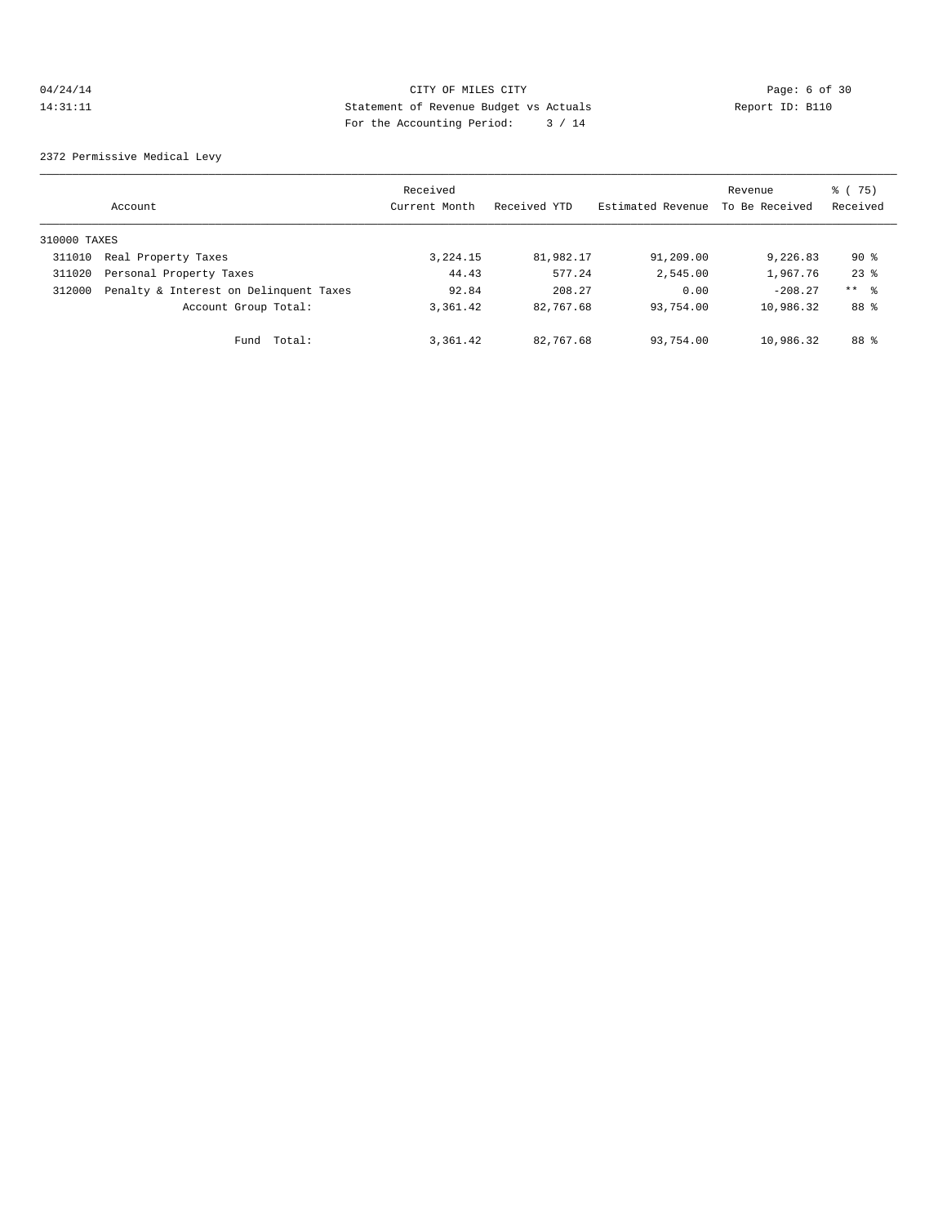# 04/24/14 Page: 6 of 30 14:31:11 Statement of Revenue Budget vs Actuals Report ID: B110<br>Report ID: B110 For the Accounting Period: 3 / 14

2372 Permissive Medical Levy

|              | Account                                | Received<br>Current Month | Received YTD | Estimated Revenue | Revenue<br>To Be Received | % (75)<br>Received |
|--------------|----------------------------------------|---------------------------|--------------|-------------------|---------------------------|--------------------|
| 310000 TAXES |                                        |                           |              |                   |                           |                    |
| 311010       | Real Property Taxes                    | 3,224.15                  | 81,982.17    | 91,209.00         | 9,226.83                  | $90*$              |
| 311020       | Personal Property Taxes                | 44.43                     | 577.24       | 2,545.00          | 1,967.76                  | $23$ $%$           |
| 312000       | Penalty & Interest on Delinquent Taxes | 92.84                     | 208.27       | 0.00              | $-208.27$                 | $***$ 8            |
|              | Account Group Total:                   | 3,361.42                  | 82,767.68    | 93,754.00         | 10,986.32                 | 88 %               |
|              | Total:<br>Fund                         | 3,361.42                  | 82,767.68    | 93,754.00         | 10,986.32                 | 88 %               |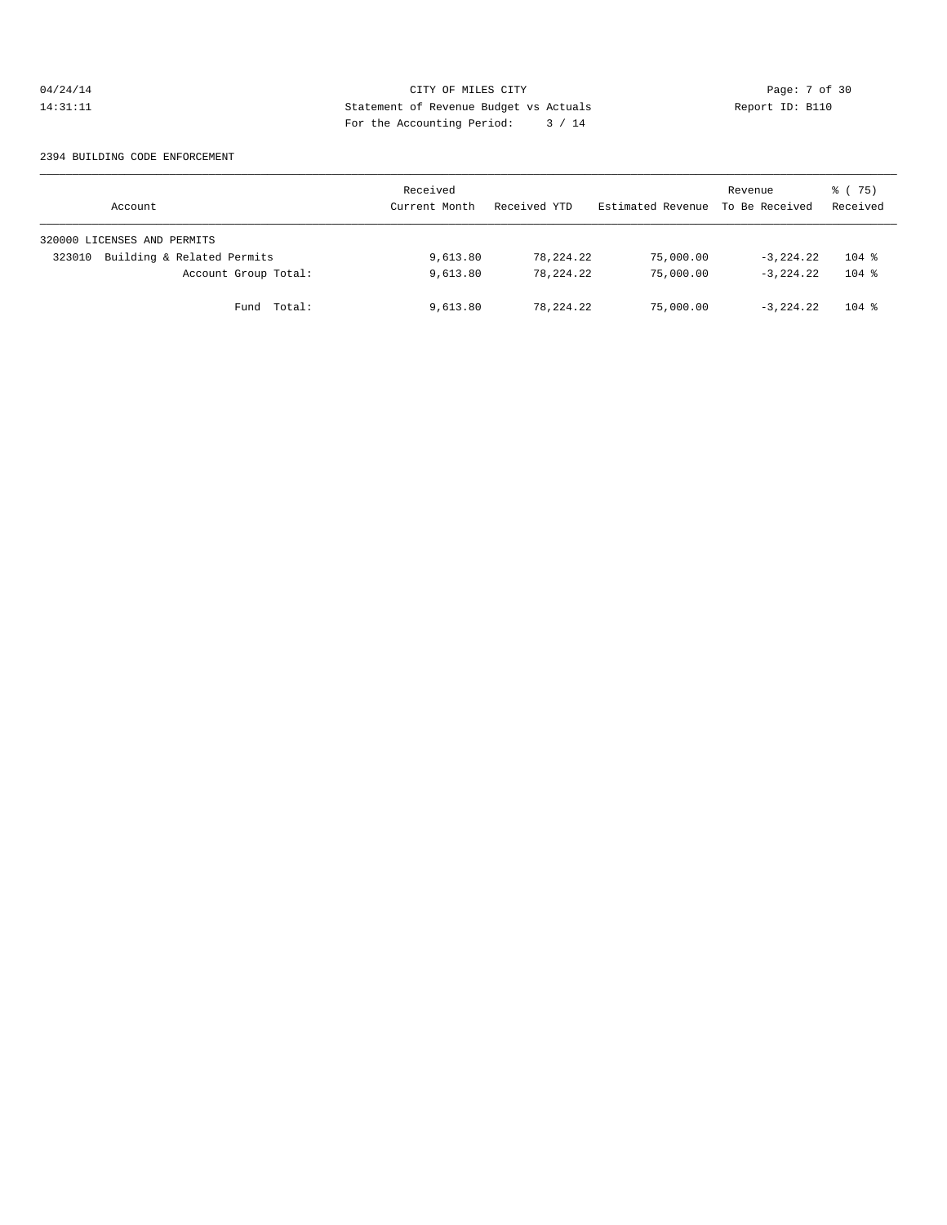# 04/24/14 CITY OF MILES CITY Page: 7 of 30<br>14:31:11 Statement of Revenue Budget vs Actuals Report ID: B110<br>Por the Accumular Device: 2006, 14: 14:31:11 Statement of Revenue Budget vs Actuals Report ID: B110 For the Accounting Period: 3 / 14

#### 2394 BUILDING CODE ENFORCEMENT

| Account                              | Received<br>Current Month | Received YTD | Estimated Revenue | Revenue<br>To Be Received | 8 (75)<br>Received |
|--------------------------------------|---------------------------|--------------|-------------------|---------------------------|--------------------|
| 320000 LICENSES AND PERMITS          |                           |              |                   |                           |                    |
| Building & Related Permits<br>323010 | 9,613.80                  | 78,224.22    | 75,000.00         | $-3.224.22$               | $104$ %            |
| Account Group Total:                 | 9,613.80                  | 78,224.22    | 75,000.00         | $-3.224.22$               | $104$ %            |
| Fund Total:                          | 9,613.80                  | 78,224.22    | 75,000.00         | $-3.224.22$               | $104$ %            |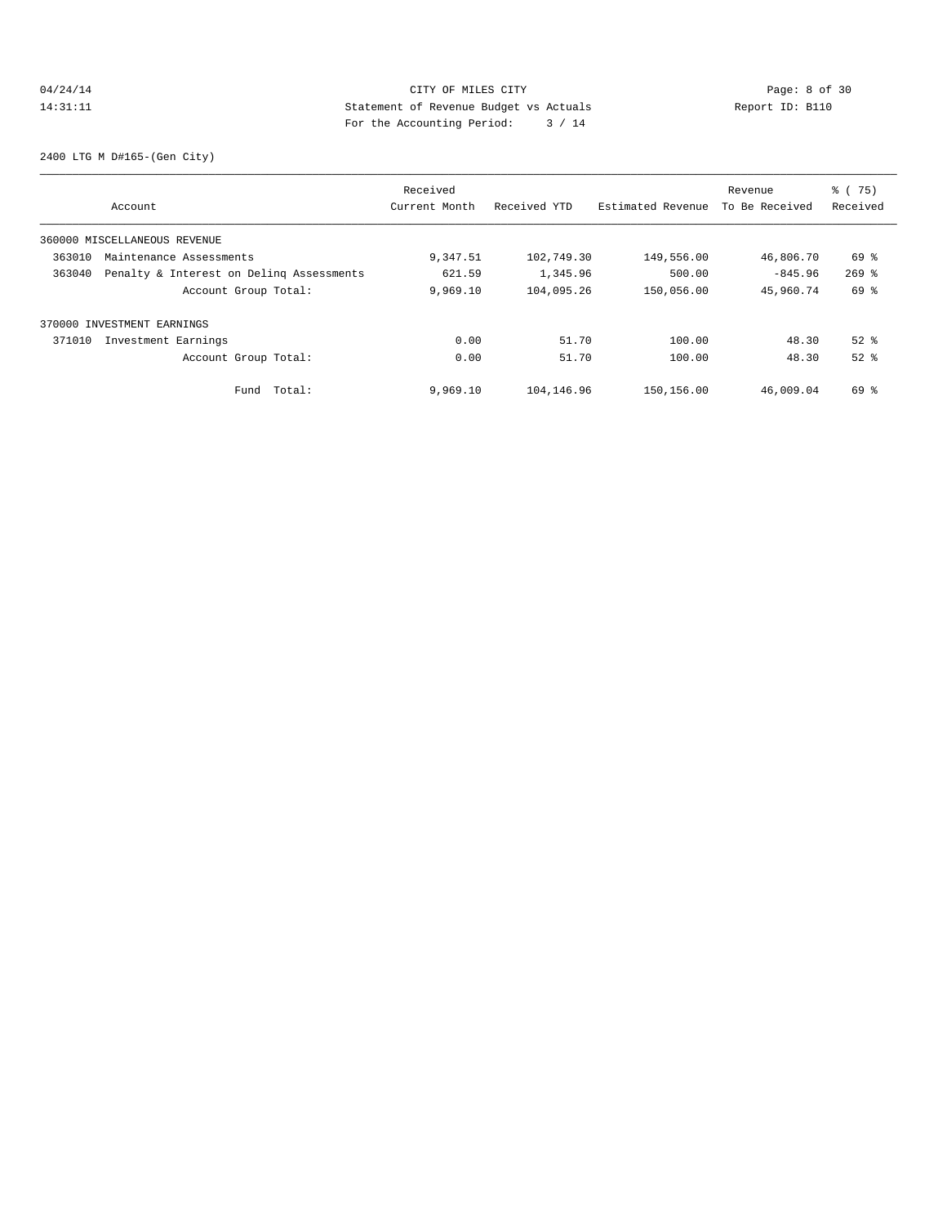# 04/24/14 Page: 8 of 30 14:31:11 Statement of Revenue Budget vs Actuals Report ID: B110 For the Accounting Period: 3 / 14

2400 LTG M D#165-(Gen City)

|        |                                          | Received      |              |                   | Revenue        | % (75)    |
|--------|------------------------------------------|---------------|--------------|-------------------|----------------|-----------|
|        | Account                                  | Current Month | Received YTD | Estimated Revenue | To Be Received | Received  |
|        | 360000 MISCELLANEOUS REVENUE             |               |              |                   |                |           |
| 363010 | Maintenance Assessments                  | 9,347.51      | 102,749.30   | 149,556.00        | 46,806.70      | 69 %      |
| 363040 | Penalty & Interest on Deling Assessments | 621.59        | 1,345.96     | 500.00            | $-845.96$      | $269$ $%$ |
|        | Account Group Total:                     | 9,969.10      | 104,095.26   | 150,056.00        | 45,960.74      | 69 %      |
|        | 370000 INVESTMENT EARNINGS               |               |              |                   |                |           |
| 371010 | Investment Earnings                      | 0.00          | 51.70        | 100.00            | 48.30          | $52$ $%$  |
|        | Account Group Total:                     | 0.00          | 51.70        | 100.00            | 48.30          | $52$ $%$  |
|        | Fund Total:                              | 9.969.10      | 104, 146.96  | 150,156.00        | 46,009.04      | 69 %      |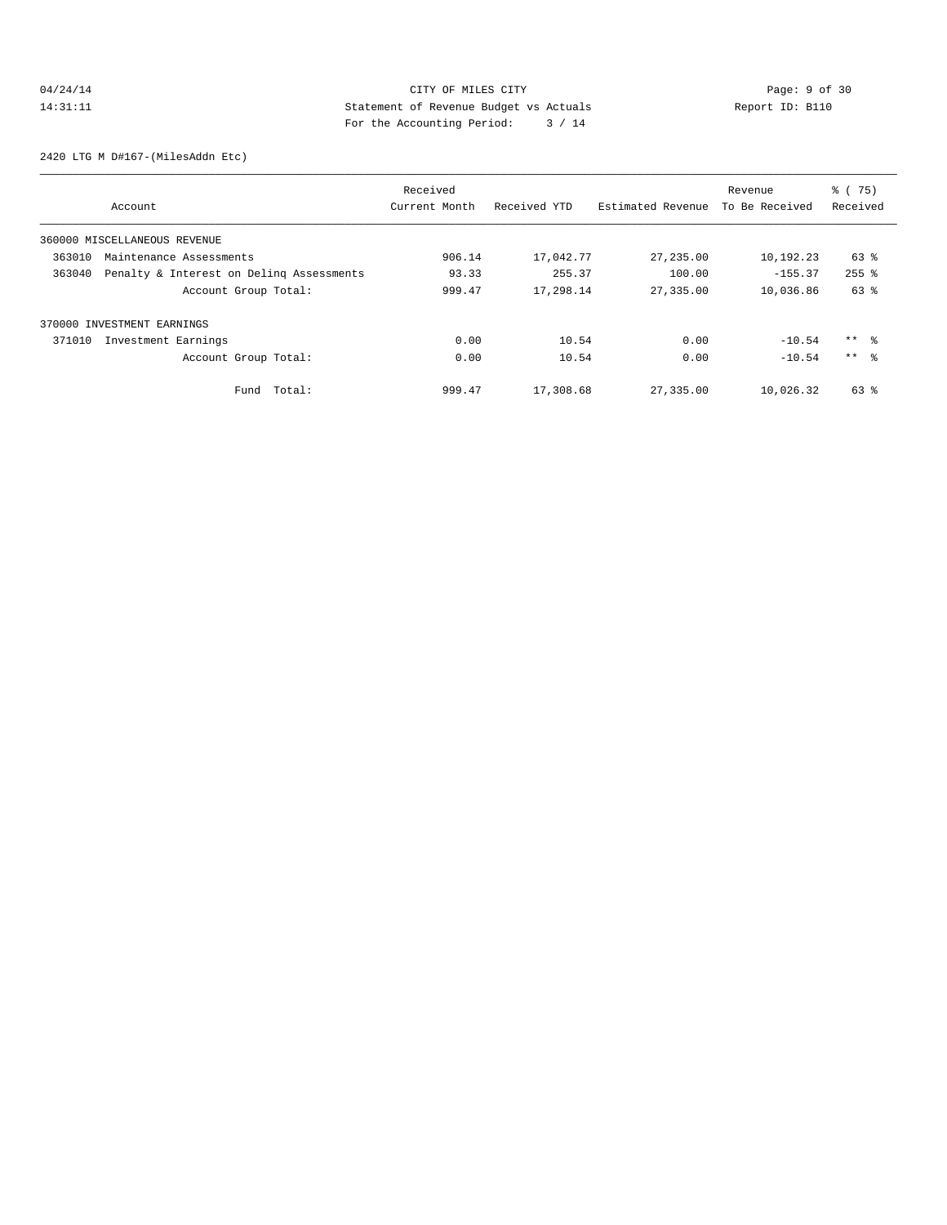# 04/24/14 Page: 9 of 30 14:31:11 Statement of Revenue Budget vs Actuals Report ID: B110 For the Accounting Period: 3 / 14

2420 LTG M D#167-(MilesAddn Etc)

|        |                                          | Received      |              |                   | Revenue        | % (75)    |
|--------|------------------------------------------|---------------|--------------|-------------------|----------------|-----------|
|        | Account                                  | Current Month | Received YTD | Estimated Revenue | To Be Received | Received  |
|        | 360000 MISCELLANEOUS REVENUE             |               |              |                   |                |           |
| 363010 | Maintenance Assessments                  | 906.14        | 17,042.77    | 27,235.00         | 10,192.23      | 63 %      |
| 363040 | Penalty & Interest on Deling Assessments | 93.33         | 255.37       | 100.00            | $-155.37$      | $255$ $%$ |
|        | Account Group Total:                     | 999.47        | 17,298.14    | 27,335.00         | 10,036.86      | 63 %      |
|        | 370000 INVESTMENT EARNINGS               |               |              |                   |                |           |
| 371010 | Investment Earnings                      | 0.00          | 10.54        | 0.00              | $-10.54$       | ** %      |
|        | Account Group Total:                     | 0.00          | 10.54        | 0.00              | $-10.54$       | $***$ %   |
|        | Total:<br>Fund                           | 999.47        | 17,308.68    | 27,335.00         | 10,026.32      | 63 %      |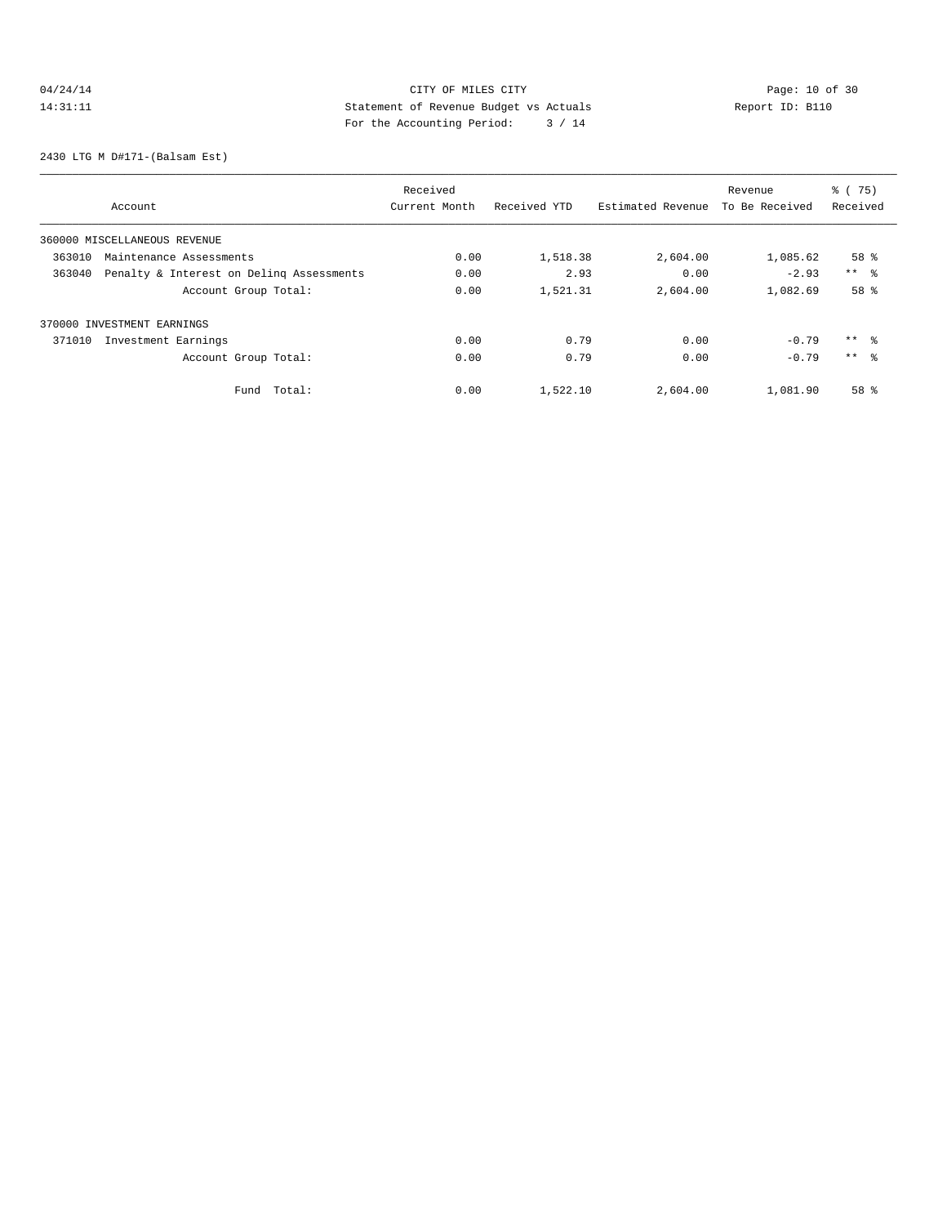# 04/24/14 Page: 10 of 30 14:31:11 Statement of Revenue Budget vs Actuals Report ID: B110<br>Report ID: B110 For the Accounting Period: 3 / 14

2430 LTG M D#171-(Balsam Est)

|                                   |                                          | Received      |              |                   | Revenue        | % (75)              |
|-----------------------------------|------------------------------------------|---------------|--------------|-------------------|----------------|---------------------|
| Account                           |                                          | Current Month | Received YTD | Estimated Revenue | To Be Received | Received            |
| 360000 MISCELLANEOUS REVENUE      |                                          |               |              |                   |                |                     |
| 363010<br>Maintenance Assessments |                                          | 0.00          | 1,518.38     | 2,604.00          | 1,085.62       | 58 <sup>8</sup>     |
| 363040                            | Penalty & Interest on Deling Assessments | 0.00          | 2.93         | 0.00              | $-2.93$        | $***$ $\frac{6}{5}$ |
|                                   | Account Group Total:                     | 0.00          | 1,521.31     | 2,604.00          | 1,082.69       | 58 %                |
| 370000 INVESTMENT EARNINGS        |                                          |               |              |                   |                |                     |
| 371010<br>Investment Earnings     |                                          | 0.00          | 0.79         | 0.00              | $-0.79$        | $***$ %             |
|                                   | Account Group Total:                     | 0.00          | 0.79         | 0.00              | $-0.79$        | $***$ $\approx$     |
|                                   | Total:<br>Fund                           | 0.00          | 1,522.10     | 2,604.00          | 1,081.90       | 58 %                |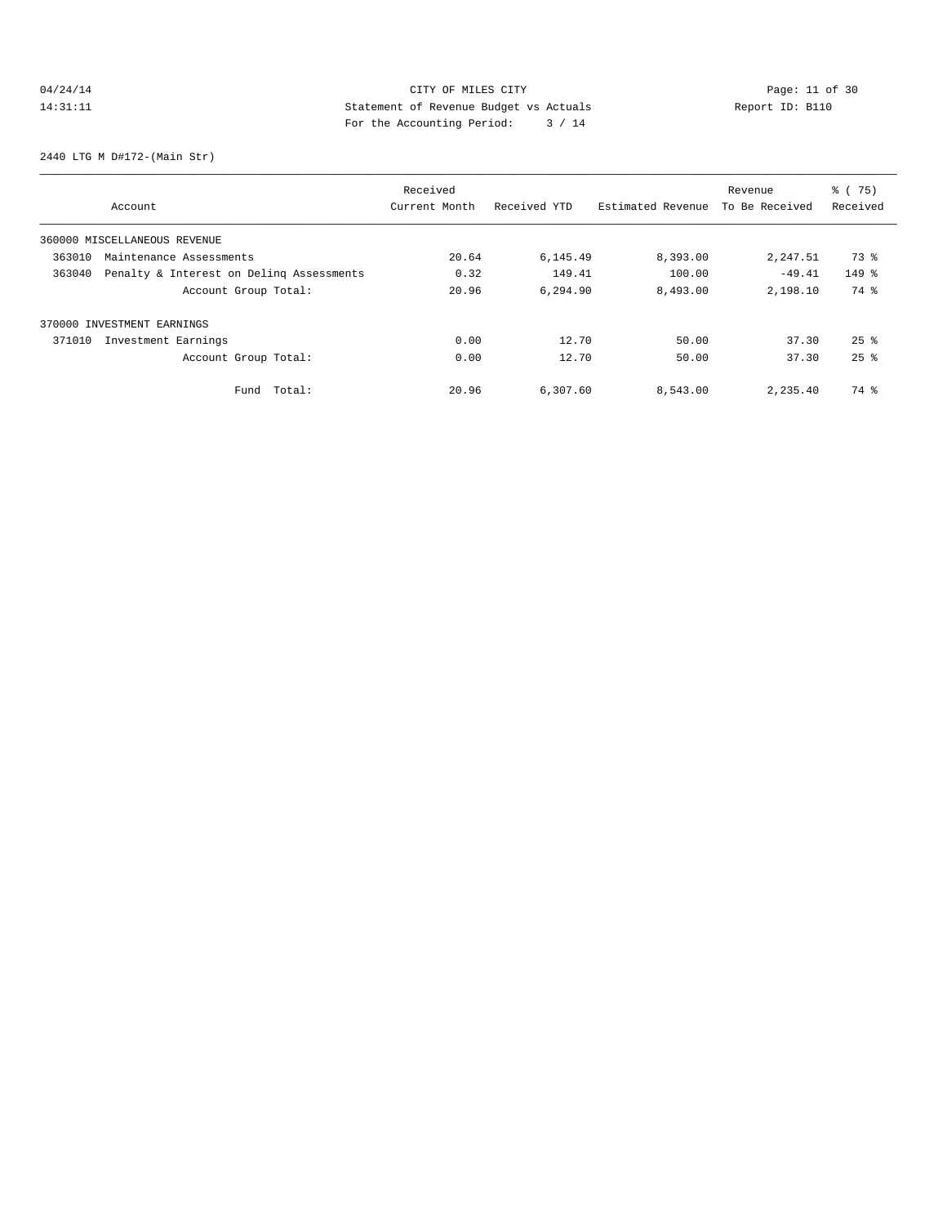# 04/24/14 Page: 11 of 30 14:31:11 Statement of Revenue Budget vs Actuals Report ID: B110 For the Accounting Period: 3 / 14

2440 LTG M D#172-(Main Str)

|        |                                          | Received      |              |                   | Revenue        | % (75)             |
|--------|------------------------------------------|---------------|--------------|-------------------|----------------|--------------------|
|        | Account                                  | Current Month | Received YTD | Estimated Revenue | To Be Received | Received           |
|        | 360000 MISCELLANEOUS REVENUE             |               |              |                   |                |                    |
| 363010 | Maintenance Assessments                  | 20.64         | 6,145.49     | 8,393.00          | 2,247.51       | 73 %               |
| 363040 | Penalty & Interest on Deling Assessments | 0.32          | 149.41       | 100.00            | $-49.41$       | $149$ %            |
|        | Account Group Total:                     | 20.96         | 6,294.90     | 8,493.00          | 2,198.10       | 74 %               |
|        | 370000 INVESTMENT EARNINGS               |               |              |                   |                |                    |
| 371010 | Investment Earnings                      | 0.00          | 12.70        | 50.00             | 37.30          | $25$ $\frac{6}{5}$ |
|        | Account Group Total:                     | 0.00          | 12.70        | 50.00             | 37.30          | $25$ $%$           |
|        | Total:<br>Fund                           | 20.96         | 6,307.60     | 8,543.00          | 2,235.40       | 74 %               |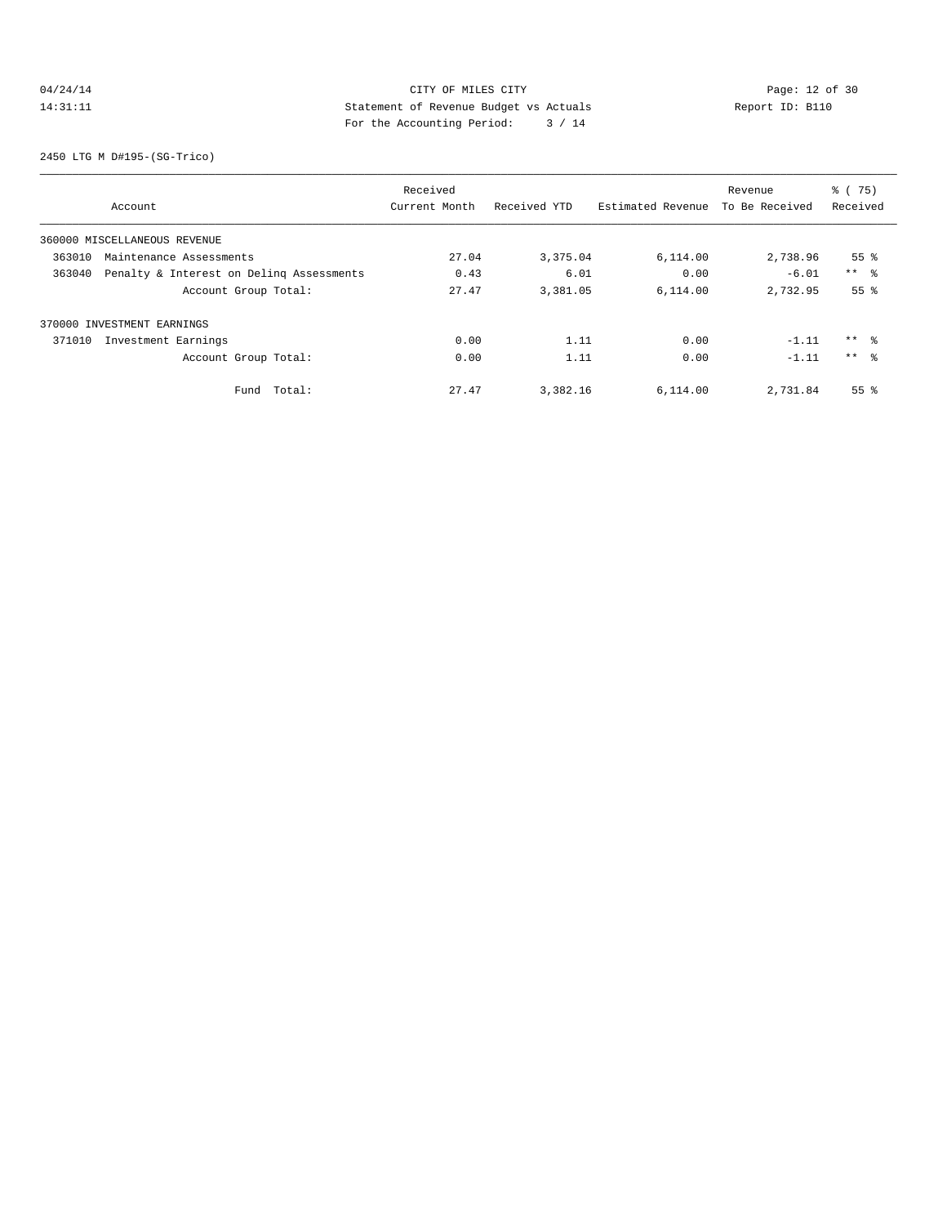# 04/24/14 Page: 12 of 30 14:31:11 Statement of Revenue Budget vs Actuals Report ID: B110<br>Report ID: B110 For the Accounting Period: 3 / 14

2450 LTG M D#195-(SG-Trico)

|        |                                          | Received      |              |                   | Revenue        | % (75)          |
|--------|------------------------------------------|---------------|--------------|-------------------|----------------|-----------------|
|        | Account                                  | Current Month | Received YTD | Estimated Revenue | To Be Received | Received        |
|        | 360000 MISCELLANEOUS REVENUE             |               |              |                   |                |                 |
| 363010 | Maintenance Assessments                  | 27.04         | 3,375.04     | 6,114.00          | 2,738.96       | 55 <sup>8</sup> |
| 363040 | Penalty & Interest on Deling Assessments | 0.43          | 6.01         | 0.00              | $-6.01$        | $***$ $ -$      |
|        | Account Group Total:                     | 27.47         | 3,381.05     | 6,114.00          | 2,732.95       | 55 <sup>8</sup> |
|        | 370000 INVESTMENT EARNINGS               |               |              |                   |                |                 |
| 371010 | Investment Earnings                      | 0.00          | 1.11         | 0.00              | $-1.11$        | $***$ %         |
|        | Account Group Total:                     | 0.00          | 1.11         | 0.00              | $-1.11$        | $***$ 8         |
|        | Total:<br>Fund                           | 27.47         | 3,382.16     | 6,114.00          | 2,731.84       | 55 <sup>8</sup> |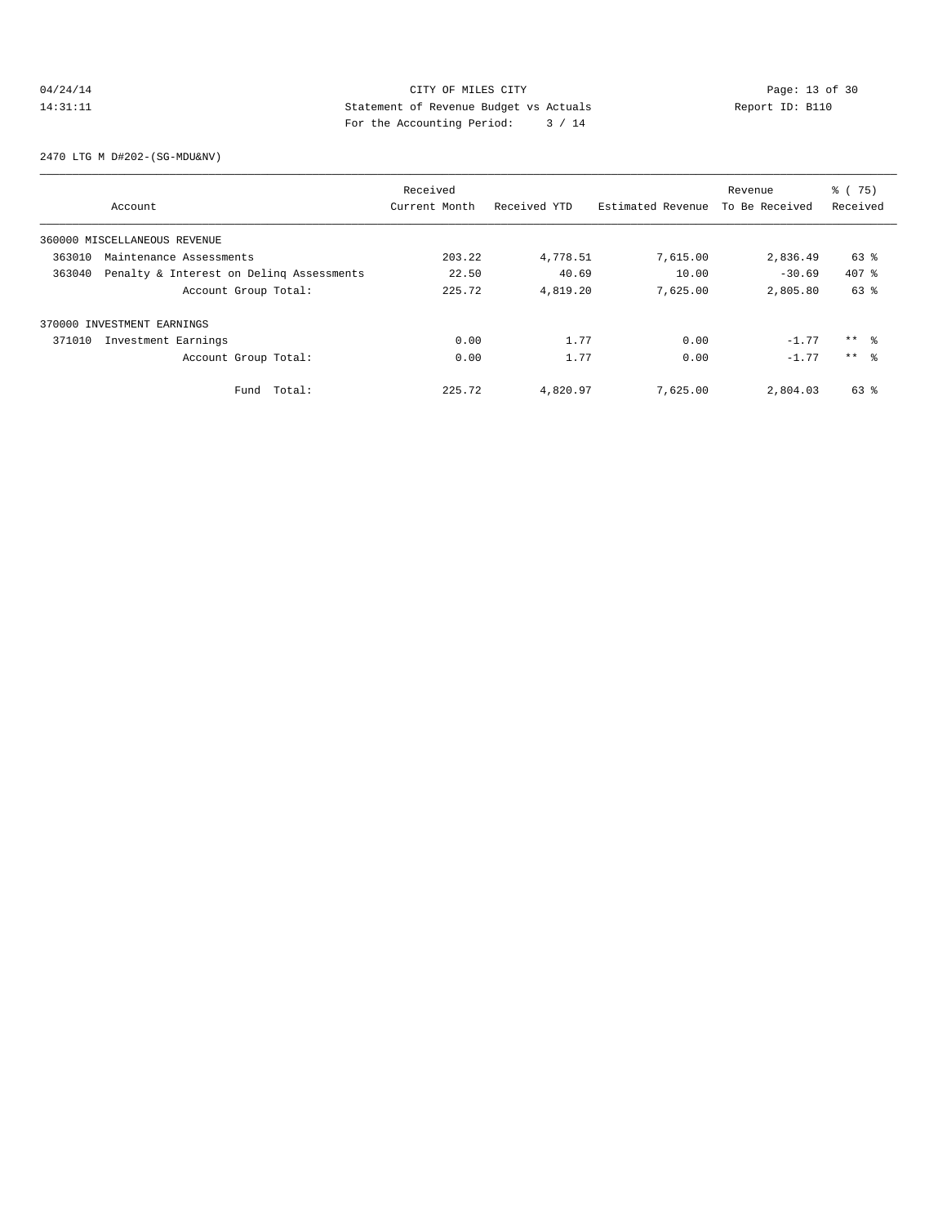# 04/24/14 Page: 13 of 30<br>14:31:11 Page: 13 of 30<br>14:31:11 CITY OF MILES CITY<br>14:31:11 Page: 13 of 30<br>14:31:11 Page: 13 of 30<br>14:31:11 Page: 13 of 30 14:31:11 Statement of Revenue Budget vs Actuals Report ID: B110 For the Accounting Period: 3 / 14

2470 LTG M D#202-(SG-MDU&NV)

|        |                                          | Received      |              |                   | Revenue        | % (75)          |
|--------|------------------------------------------|---------------|--------------|-------------------|----------------|-----------------|
|        | Account                                  | Current Month | Received YTD | Estimated Revenue | To Be Received | Received        |
|        | 360000 MISCELLANEOUS REVENUE             |               |              |                   |                |                 |
| 363010 | Maintenance Assessments                  | 203.22        | 4,778.51     | 7,615.00          | 2,836.49       | 63 %            |
| 363040 | Penalty & Interest on Deling Assessments | 22.50         | 40.69        | 10.00             | $-30.69$       | $407*$          |
|        | Account Group Total:                     | 225.72        | 4,819.20     | 7,625.00          | 2,805.80       | $63$ $%$        |
|        | 370000 INVESTMENT EARNINGS               |               |              |                   |                |                 |
| 371010 | Investment Earnings                      | 0.00          | 1.77         | 0.00              | $-1.77$        | $***$ 8         |
|        | Account Group Total:                     | 0.00          | 1.77         | 0.00              | $-1.77$        | $***$ $\approx$ |
|        | Total:<br>Fund                           | 225.72        | 4,820.97     | 7.625.00          | 2,804.03       | 63 %            |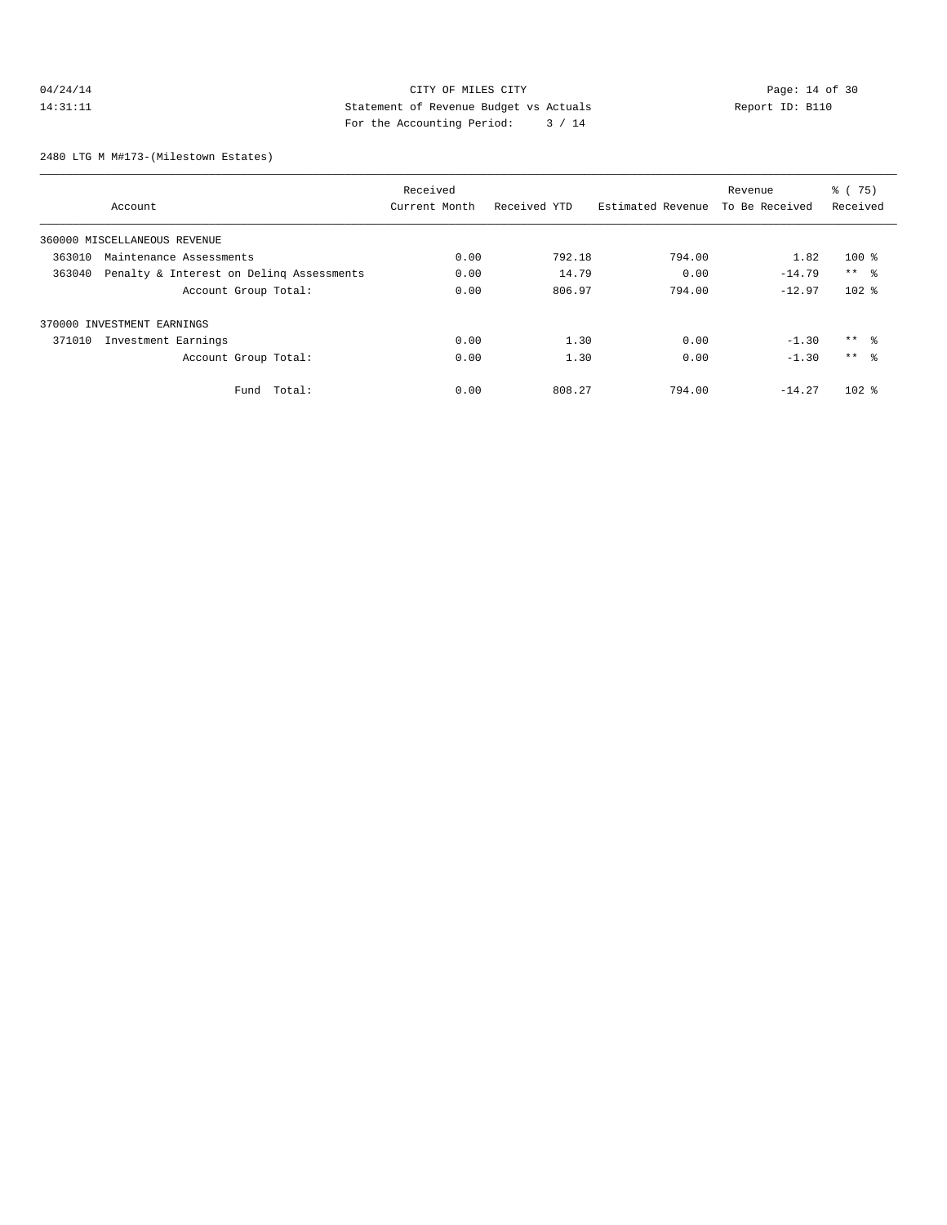# 04/24/14 Page: 14 of 30 14:31:11 Statement of Revenue Budget vs Actuals Report ID: B110 For the Accounting Period: 3 / 14

2480 LTG M M#173-(Milestown Estates)

|                                                    | Received      |              |                   | Revenue        | % (75)    |
|----------------------------------------------------|---------------|--------------|-------------------|----------------|-----------|
| Account                                            | Current Month | Received YTD | Estimated Revenue | To Be Received | Received  |
| 360000 MISCELLANEOUS REVENUE                       |               |              |                   |                |           |
| 363010<br>Maintenance Assessments                  | 0.00          | 792.18       | 794.00            | 1.82           | $100$ %   |
| Penalty & Interest on Deling Assessments<br>363040 | 0.00          | 14.79        | 0.00              | $-14.79$       | $***$ %   |
| Account Group Total:                               | 0.00          | 806.97       | 794.00            | $-12.97$       | $102$ %   |
| 370000 INVESTMENT EARNINGS                         |               |              |                   |                |           |
| 371010<br>Investment Earnings                      | 0.00          | 1.30         | 0.00              | $-1.30$        | $***$ %   |
| Account Group Total:                               | 0.00          | 1.30         | 0.00              | $-1.30$        | $***$ %   |
| Total:<br>Fund                                     | 0.00          | 808.27       | 794.00            | $-14.27$       | $102$ $%$ |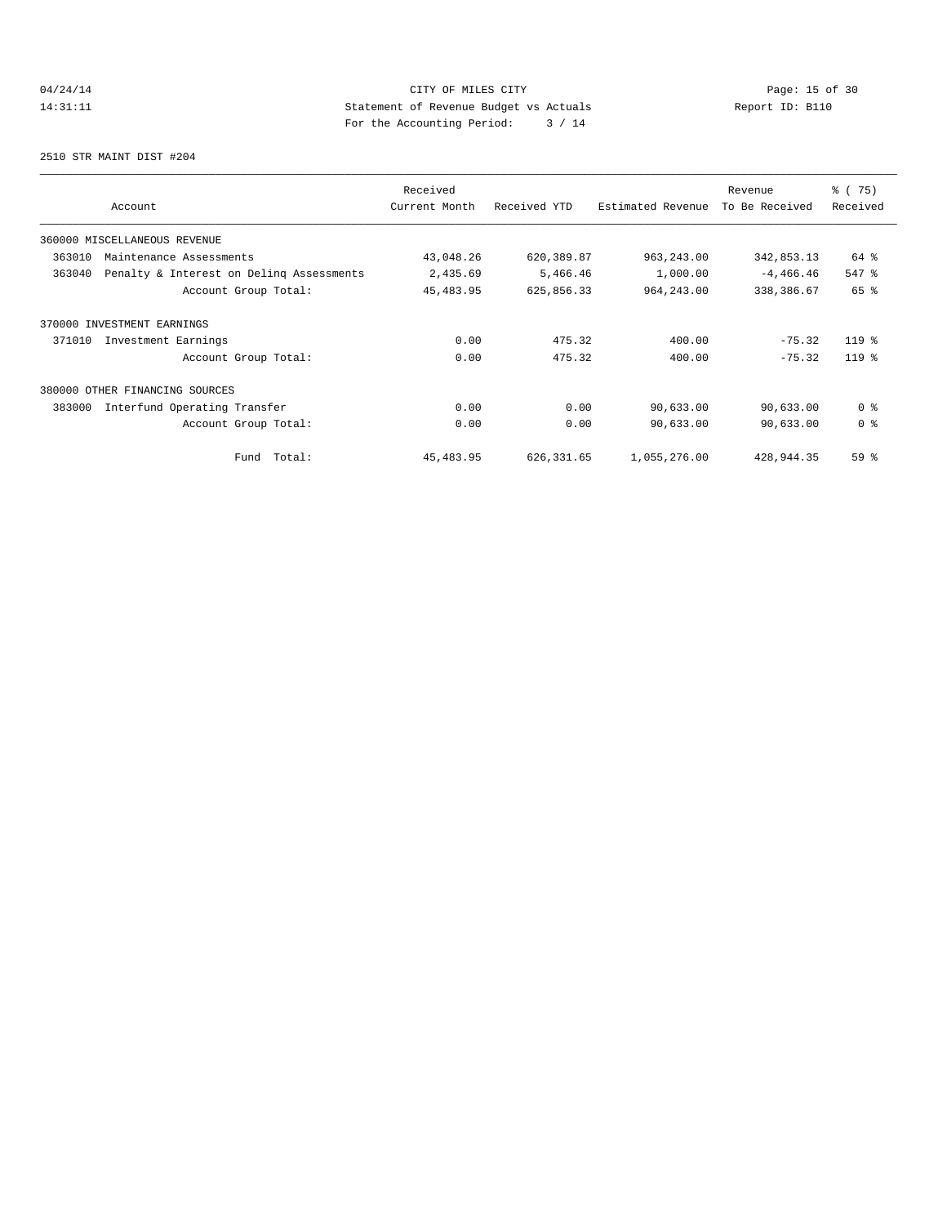# 04/24/14 Page: 15 of 30 14:31:11 Statement of Revenue Budget vs Actuals<br>
To the Accounting Boxical:  $\frac{1}{4}$  / 14 For the Accounting Period: 3 / 14

2510 STR MAINT DIST #204

| Account                                            | Received<br>Current Month | Received YTD | Estimated Revenue | Revenue<br>To Be Received | 8 (75)<br>Received |
|----------------------------------------------------|---------------------------|--------------|-------------------|---------------------------|--------------------|
| 360000 MISCELLANEOUS REVENUE                       |                           |              |                   |                           |                    |
| 363010<br>Maintenance Assessments                  | 43,048.26                 | 620,389.87   | 963, 243.00       | 342,853.13                | 64 %               |
| 363040<br>Penalty & Interest on Deling Assessments | 2,435.69                  | 5,466.46     | 1,000.00          | $-4,466.46$               | 547 %              |
| Account Group Total:                               | 45, 483.95                | 625,856.33   | 964, 243.00       | 338,386.67                | 65 %               |
| 370000 INVESTMENT EARNINGS                         |                           |              |                   |                           |                    |
| 371010<br>Investment Earnings                      | 0.00                      | 475.32       | 400.00            | $-75.32$                  | $119*$             |
| Account Group Total:                               | 0.00                      | 475.32       | 400.00            | $-75.32$                  | $119*$             |
| 380000 OTHER FINANCING SOURCES                     |                           |              |                   |                           |                    |
| 383000<br>Interfund Operating Transfer             | 0.00                      | 0.00         | 90,633.00         | 90,633.00                 | 0 <sup>8</sup>     |
| Account Group Total:                               | 0.00                      | 0.00         | 90,633.00         | 90,633.00                 | 0 <sup>8</sup>     |
| Total:<br>Fund                                     | 45, 483.95                | 626, 331.65  | 1,055,276.00      | 428,944.35                | 59 %               |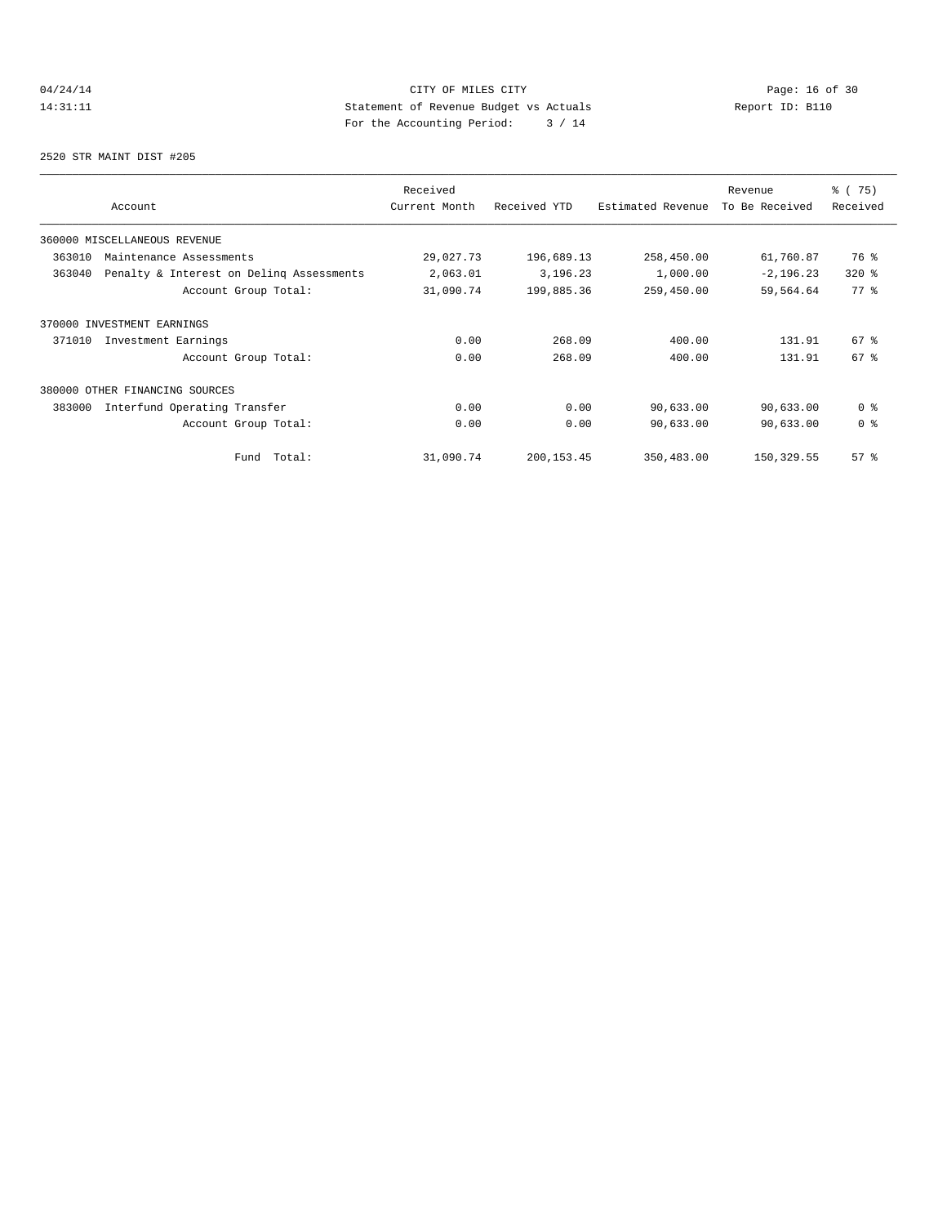# 04/24/14 Page: 16 of 30 14:31:11 Statement of Revenue Budget vs Actuals<br>
To the Accounting Boxical:  $\frac{1}{4}$  / 14 For the Accounting Period: 3 / 14

2520 STR MAINT DIST #205

| Account                                            | Received<br>Current Month | Received YTD | Estimated Revenue | Revenue<br>To Be Received | 8 (75)<br>Received |
|----------------------------------------------------|---------------------------|--------------|-------------------|---------------------------|--------------------|
| 360000 MISCELLANEOUS REVENUE                       |                           |              |                   |                           |                    |
| 363010<br>Maintenance Assessments                  | 29,027.73                 | 196,689.13   | 258,450.00        | 61,760.87                 | 76 %               |
| Penalty & Interest on Deling Assessments<br>363040 | 2,063.01                  | 3,196.23     | 1,000.00          | $-2, 196.23$              | $320*$             |
| Account Group Total:                               | 31,090.74                 | 199,885.36   | 259,450.00        | 59,564.64                 | 77.8               |
| 370000 INVESTMENT EARNINGS                         |                           |              |                   |                           |                    |
| 371010<br>Investment Earnings                      | 0.00                      | 268.09       | 400.00            | 131.91                    | 67 <sup>°</sup>    |
| Account Group Total:                               | 0.00                      | 268.09       | 400.00            | 131.91                    | 67 <sup>°</sup>    |
| 380000 OTHER FINANCING SOURCES                     |                           |              |                   |                           |                    |
| 383000<br>Interfund Operating Transfer             | 0.00                      | 0.00         | 90,633.00         | 90,633.00                 | 0 <sup>8</sup>     |
| Account Group Total:                               | 0.00                      | 0.00         | 90,633.00         | 90,633.00                 | 0 <sup>8</sup>     |
| Total:<br>Fund                                     | 31,090.74                 | 200, 153.45  | 350,483.00        | 150,329.55                | 57%                |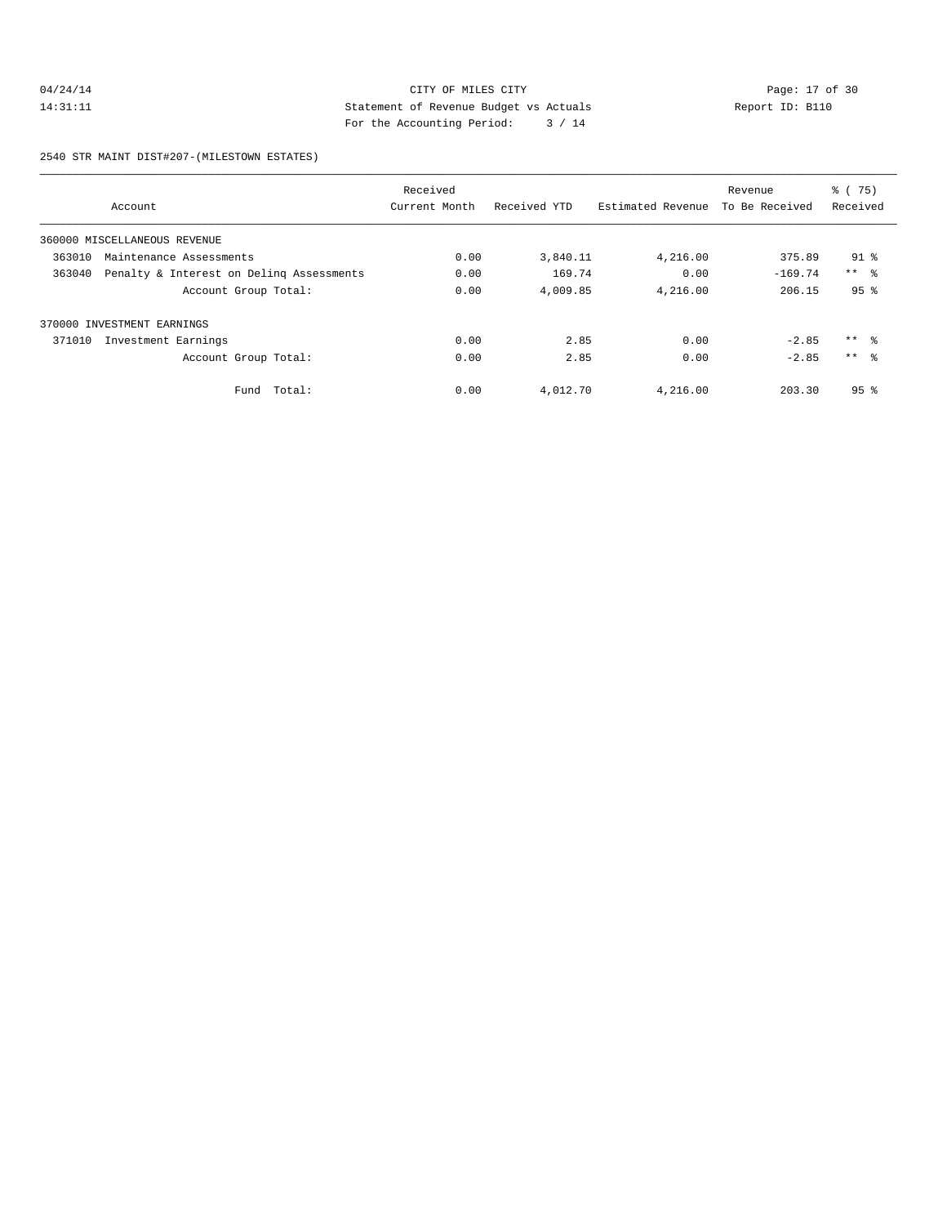# 04/24/14 Page: 17 of 30 14:31:11 Statement of Revenue Budget vs Actuals Report ID: B110 For the Accounting Period: 3 / 14

2540 STR MAINT DIST#207-(MILESTOWN ESTATES)

|        |                                          | Received      |              |                   | Revenue        | % (75)          |
|--------|------------------------------------------|---------------|--------------|-------------------|----------------|-----------------|
|        | Account                                  | Current Month | Received YTD | Estimated Revenue | To Be Received | Received        |
|        | 360000 MISCELLANEOUS REVENUE             |               |              |                   |                |                 |
| 363010 | Maintenance Assessments                  | 0.00          | 3,840.11     | 4,216.00          | 375.89         | $91$ %          |
| 363040 | Penalty & Interest on Deling Assessments | 0.00          | 169.74       | 0.00              | $-169.74$      | $***$ $ -$      |
|        | Account Group Total:                     | 0.00          | 4,009.85     | 4,216.00          | 206.15         | 95 <sup>8</sup> |
|        | 370000 INVESTMENT EARNINGS               |               |              |                   |                |                 |
| 371010 | Investment Earnings                      | 0.00          | 2.85         | 0.00              | $-2.85$        | $***$ $ -$      |
|        | Account Group Total:                     | 0.00          | 2.85         | 0.00              | $-2.85$        | $***$ $\approx$ |
|        | Fund Total:                              | 0.00          | 4,012.70     | 4,216.00          | 203.30         | 95 <sup>8</sup> |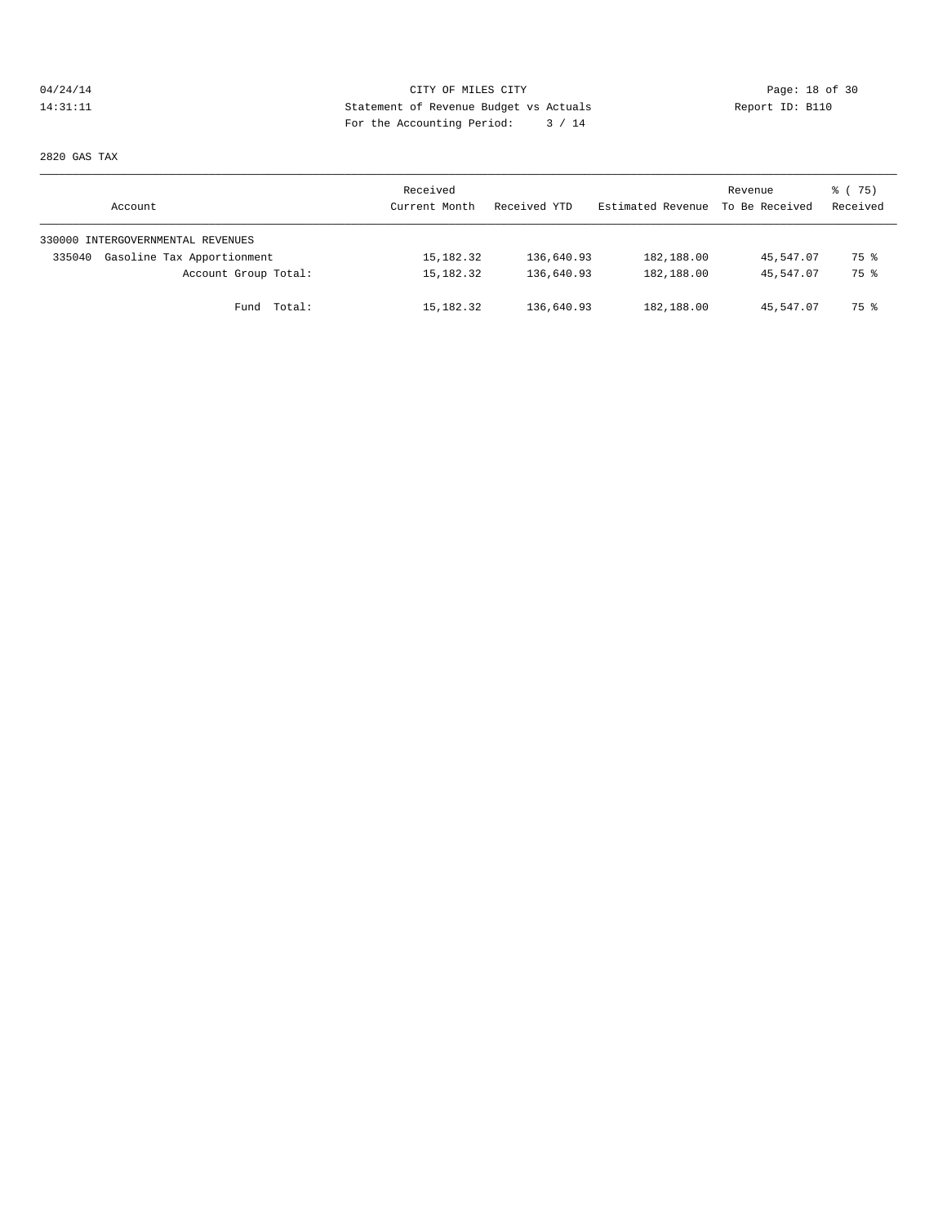# 04/24/14 Page: 18 of 30 14:31:11 Statement of Revenue Budget vs Actuals Report ID: B110<br>Report ID: B110 For the Accounting Period: 3 / 14

2820 GAS TAX

| Account                              | Received<br>Current Month | Received YTD | Estimated Revenue | Revenue<br>To Be Received | 8 (75)<br>Received |
|--------------------------------------|---------------------------|--------------|-------------------|---------------------------|--------------------|
| 330000 INTERGOVERNMENTAL REVENUES    |                           |              |                   |                           |                    |
| Gasoline Tax Apportionment<br>335040 | 15,182.32                 | 136,640.93   | 182,188.00        | 45,547.07                 | 75 %               |
| Account Group Total:                 | 15,182.32                 | 136,640.93   | 182,188.00        | 45,547.07                 | 75 %               |
| Fund Total:                          | 15,182.32                 | 136,640.93   | 182,188.00        | 45,547.07                 | 75 %               |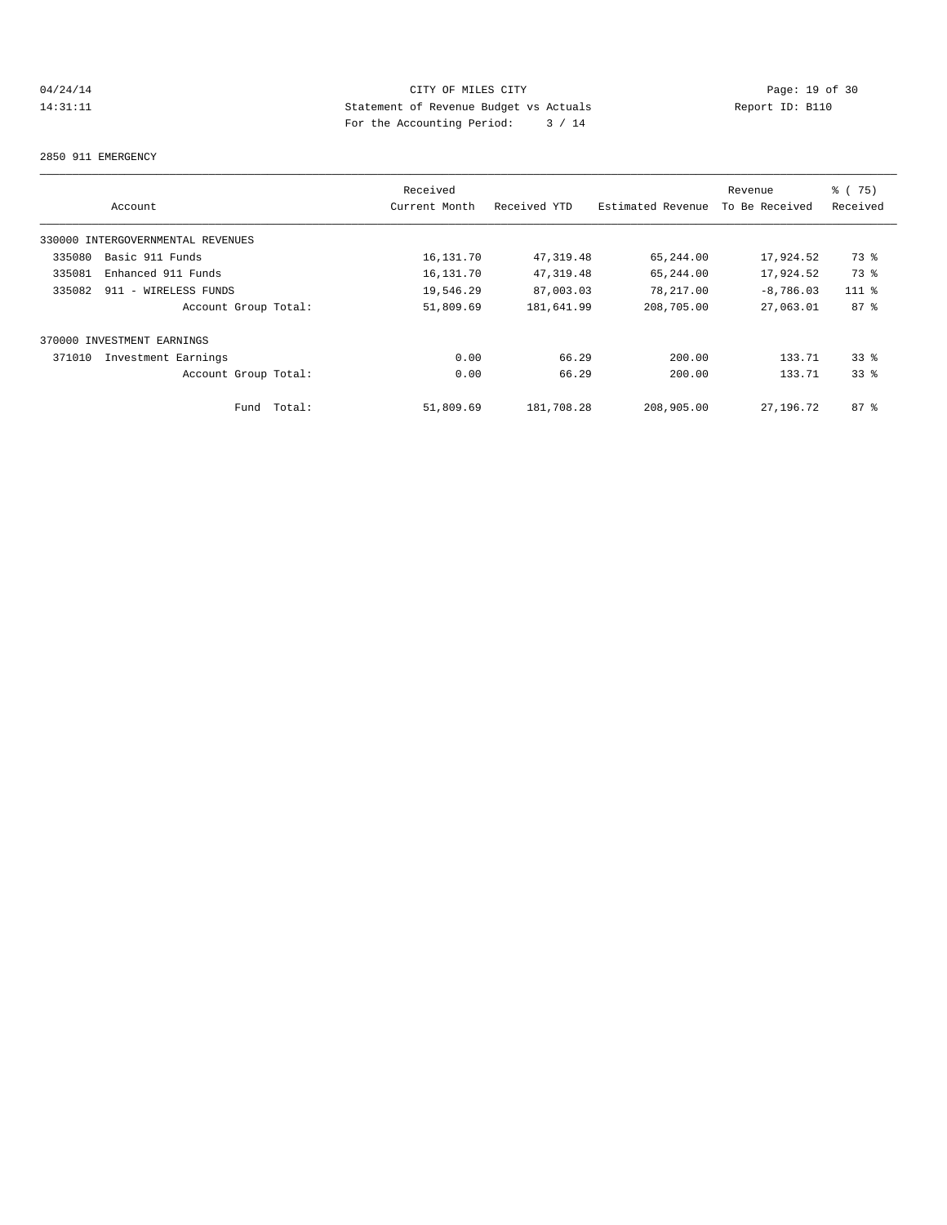# 04/24/14 Page: 19 of 30<br>14:31:11 CITY OF MILES CITY Page: 19 of 30<br>14:31:11 Page: 19 of 30<br>14. Page: the localities Page: 2001 Application 2004 14:31:11 Statement of Revenue Budget vs Actuals Report ID: B110 For the Accounting Period: 3 / 14

#### 2850 911 EMERGENCY

|        |                                   |        | Received      |              |                   | Revenue        | % (75)   |
|--------|-----------------------------------|--------|---------------|--------------|-------------------|----------------|----------|
|        | Account                           |        | Current Month | Received YTD | Estimated Revenue | To Be Received | Received |
|        | 330000 INTERGOVERNMENTAL REVENUES |        |               |              |                   |                |          |
| 335080 | Basic 911 Funds                   |        | 16,131.70     | 47,319.48    | 65,244.00         | 17,924.52      | 73 %     |
| 335081 | Enhanced 911 Funds                |        | 16,131.70     | 47,319.48    | 65,244.00         | 17,924.52      | 73 %     |
| 335082 | 911 - WIRELESS FUNDS              |        | 19,546.29     | 87,003.03    | 78,217.00         | $-8,786.03$    | $111*$   |
|        | Account Group Total:              |        | 51,809.69     | 181,641.99   | 208,705.00        | 27,063.01      | $87 - 8$ |
|        | 370000 INVESTMENT EARNINGS        |        |               |              |                   |                |          |
| 371010 | Investment Earnings               |        | 0.00          | 66.29        | 200.00            | 133.71         | 338      |
|        | Account Group Total:              |        | 0.00          | 66.29        | 200.00            | 133.71         | 338      |
|        | Fund                              | Total: | 51,809.69     | 181,708.28   | 208,905.00        | 27,196.72      | $87 - 8$ |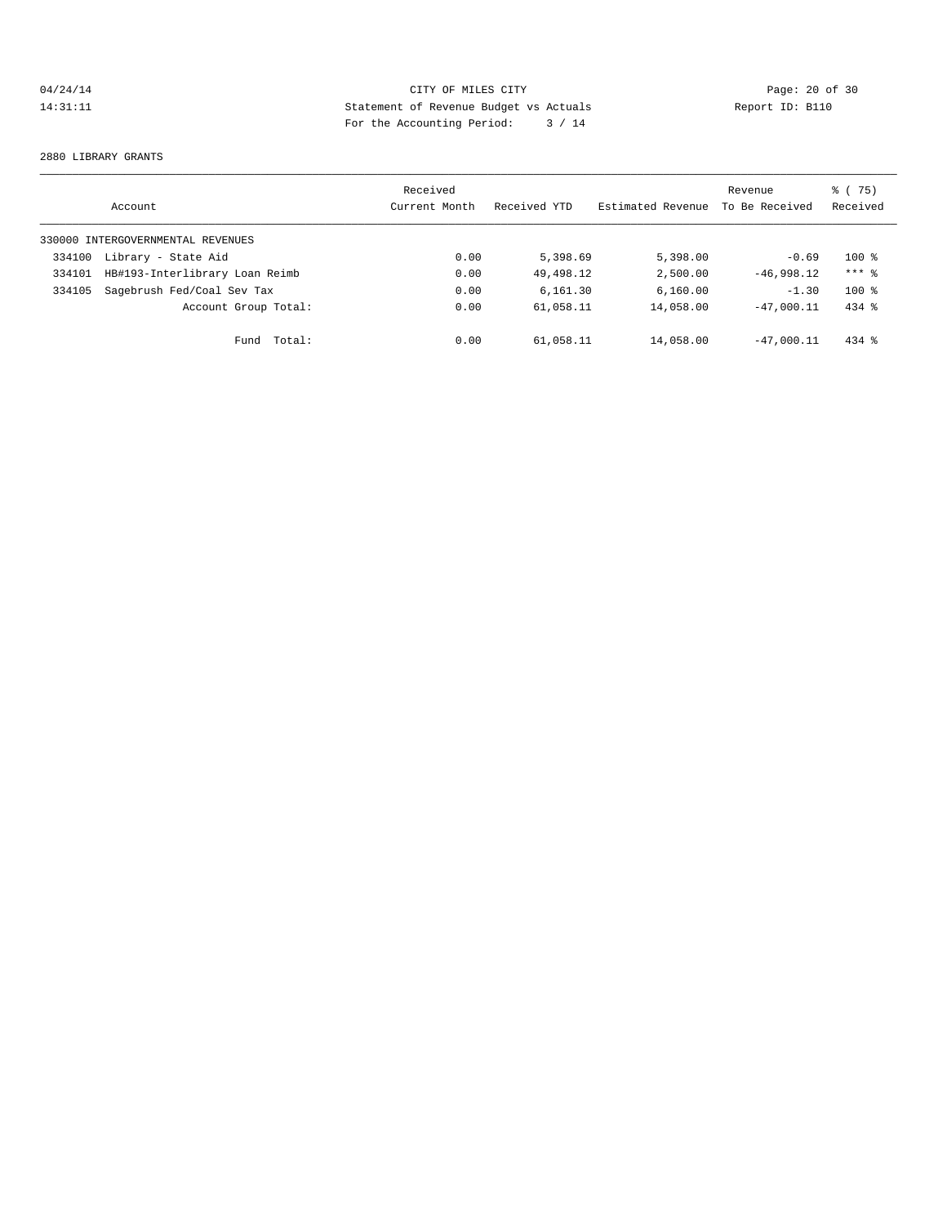# 04/24/14 Page: 20 of 30 14:31:11 Statement of Revenue Budget vs Actuals Report ID: B110 For the Accounting Period: 3 / 14

#### 2880 LIBRARY GRANTS

|        | Account                           | Received<br>Current Month | Received YTD | Estimated Revenue | Revenue<br>To Be Received | % (75)<br>Received |
|--------|-----------------------------------|---------------------------|--------------|-------------------|---------------------------|--------------------|
|        | 330000 INTERGOVERNMENTAL REVENUES |                           |              |                   |                           |                    |
| 334100 | Library - State Aid               | 0.00                      | 5,398.69     | 5,398.00          | $-0.69$                   | $100*$             |
| 334101 | HB#193-Interlibrary Loan Reimb    | 0.00                      | 49, 498, 12  | 2,500.00          | $-46.998.12$              | $***$ 2            |
| 334105 | Sagebrush Fed/Coal Sev Tax        | 0.00                      | 6.161.30     | 6,160.00          | $-1.30$                   | $100*$             |
|        | Account Group Total:              | 0.00                      | 61,058.11    | 14,058.00         | $-47.000.11$              | $434$ $%$          |
|        | Total:<br>Fund                    | 0.00                      | 61,058.11    | 14,058.00         | $-47.000.11$              | $434$ $%$          |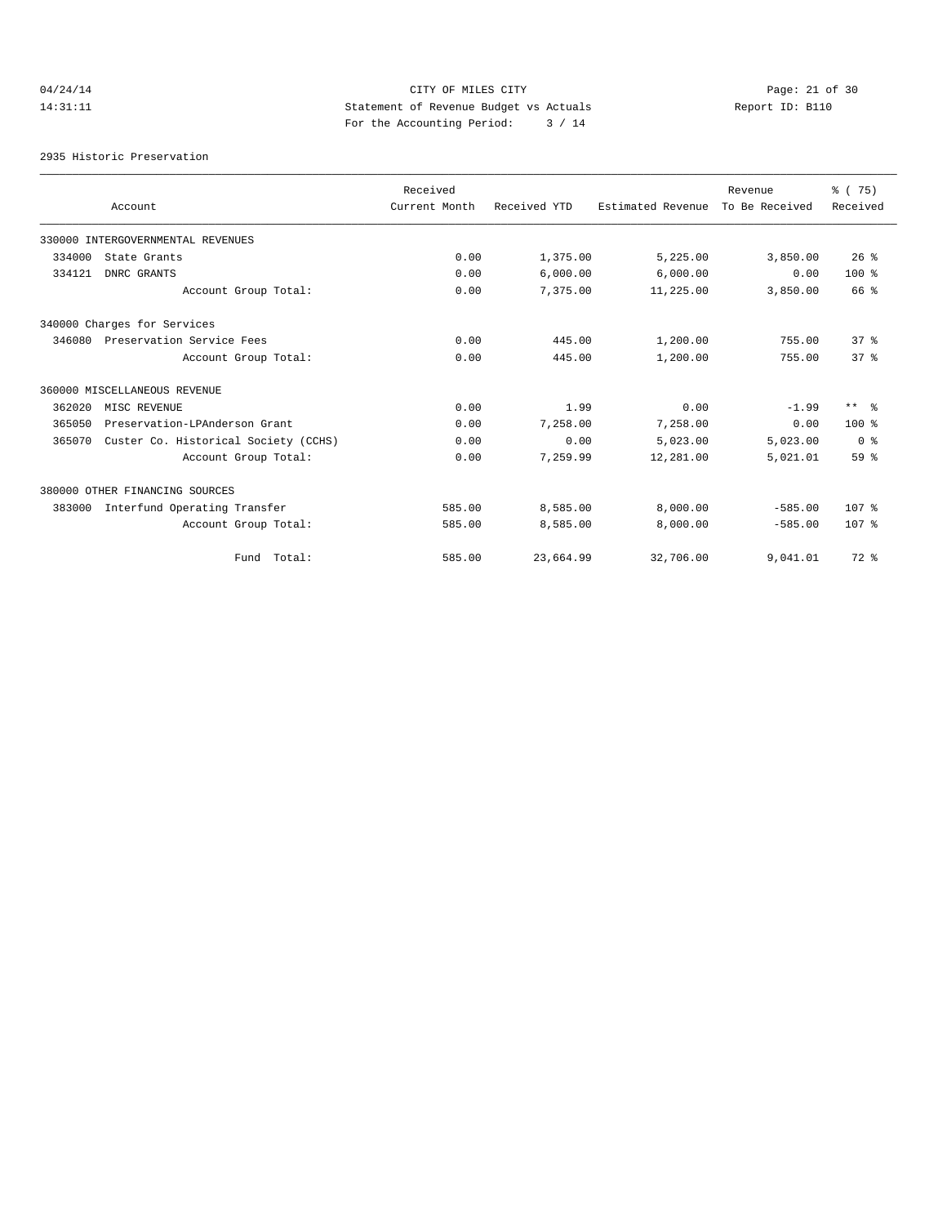04/24/14 Page: 21 of 30 14:31:11 Statement of Revenue Budget vs Actuals Report ID: B110 For the Accounting Period: 3 / 14

2935 Historic Preservation

|        |                                      | Received      |              |                   | Revenue        | 8 (75)           |
|--------|--------------------------------------|---------------|--------------|-------------------|----------------|------------------|
|        | Account                              | Current Month | Received YTD | Estimated Revenue | To Be Received | Received         |
|        | 330000 INTERGOVERNMENTAL REVENUES    |               |              |                   |                |                  |
| 334000 | State Grants                         | 0.00          | 1,375.00     | 5,225.00          | 3,850.00       | $26$ %           |
| 334121 | DNRC GRANTS                          | 0.00          | 6,000.00     | 6,000.00          | 0.00           | $100*$           |
|        | Account Group Total:                 | 0.00          | 7,375.00     | 11,225.00         | 3,850.00       | 66 %             |
|        | 340000 Charges for Services          |               |              |                   |                |                  |
| 346080 | Preservation Service Fees            | 0.00          | 445.00       | 1,200.00          | 755.00         | 37 <sup>8</sup>  |
|        | Account Group Total:                 | 0.00          | 445.00       | 1,200.00          | 755.00         | 37 <sup>8</sup>  |
|        | 360000 MISCELLANEOUS REVENUE         |               |              |                   |                |                  |
| 362020 | MISC REVENUE                         | 0.00          | 1.99         | 0.00              | $-1.99$        | $***$ $\approx$  |
| 365050 | Preservation-LPAnderson Grant        | 0.00          | 7,258.00     | 7.258.00          | 0.00           | $100*$           |
| 365070 | Custer Co. Historical Society (CCHS) | 0.00          | 0.00         | 5,023.00          | 5,023.00       | 0 %              |
|        | Account Group Total:                 | 0.00          | 7,259.99     | 12,281.00         | 5,021.01       | 59 %             |
|        | 380000 OTHER FINANCING SOURCES       |               |              |                   |                |                  |
| 383000 | Interfund Operating Transfer         | 585.00        | 8,585.00     | 8,000.00          | $-585.00$      | 107 <sub>8</sub> |
|        | Account Group Total:                 | 585.00        | 8,585.00     | 8,000.00          | $-585.00$      | 107 <sub>8</sub> |
|        | Fund Total:                          | 585.00        | 23,664.99    | 32,706.00         | 9,041.01       | $72$ $%$         |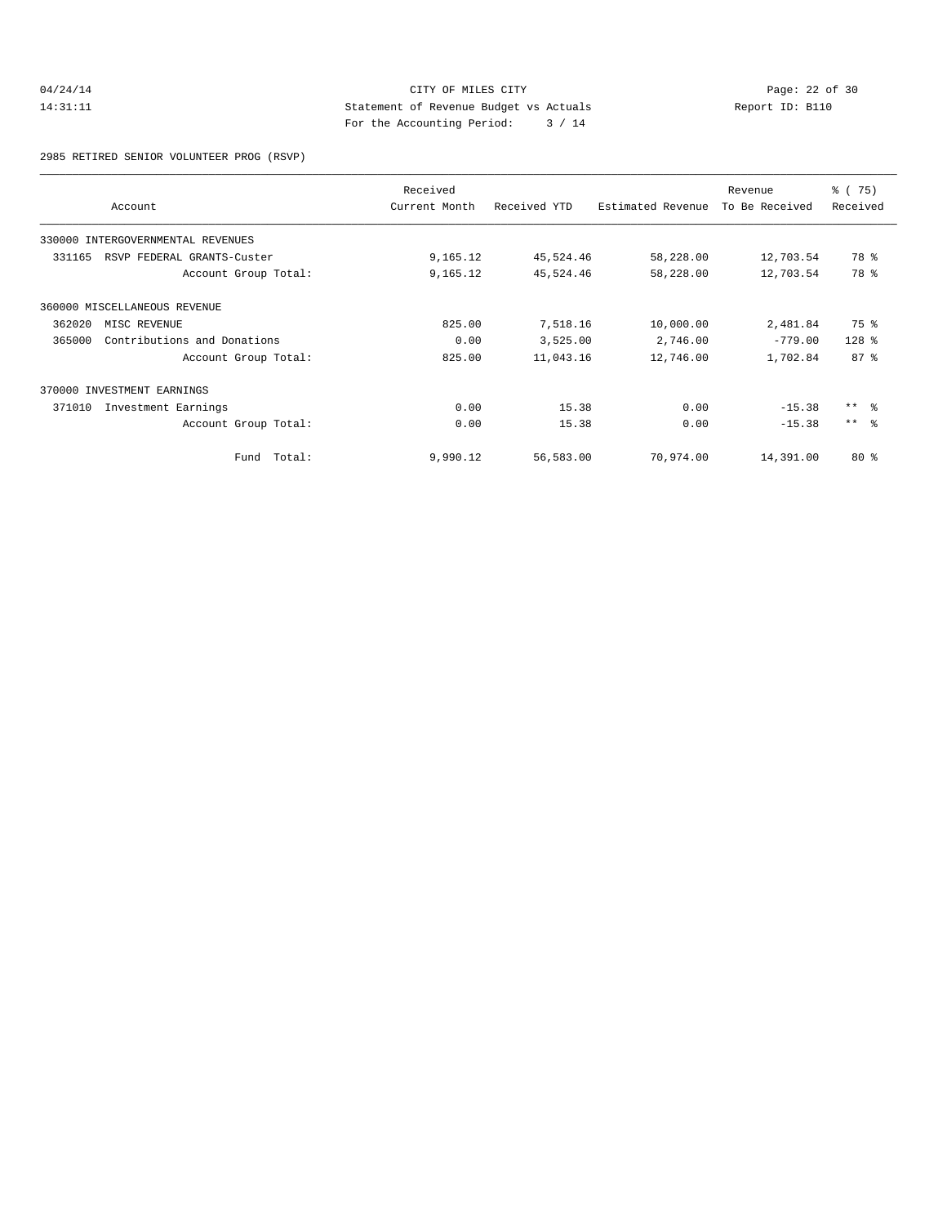# 04/24/14 CITY OF MILES CITY<br>14:31:11 Page: 22 of 30<br>14:31:11 Statement of Revenue Budget vs Actuals<br>2011 Page: Also Statement of Revenue Budget vs Actuals 14:31:11 Statement of Revenue Budget vs Actuals Report ID: B110 For the Accounting Period: 3 / 14

2985 RETIRED SENIOR VOLUNTEER PROG (RSVP)

|        | Account                      | Received<br>Current Month | Received YTD | Estimated Revenue | Revenue<br>To Be Received | 8 (75)<br>Received |
|--------|------------------------------|---------------------------|--------------|-------------------|---------------------------|--------------------|
| 330000 | INTERGOVERNMENTAL REVENUES   |                           |              |                   |                           |                    |
| 331165 | RSVP FEDERAL GRANTS-Custer   | 9,165.12                  | 45,524.46    | 58,228.00         | 12,703.54                 | 78 %               |
|        | Account Group Total:         | 9,165.12                  | 45,524.46    | 58,228.00         | 12,703.54                 | 78 %               |
|        | 360000 MISCELLANEOUS REVENUE |                           |              |                   |                           |                    |
| 362020 | MISC REVENUE                 | 825.00                    | 7,518.16     | 10,000.00         | 2,481.84                  | 75 %               |
| 365000 | Contributions and Donations  | 0.00                      | 3,525.00     | 2,746.00          | $-779.00$                 | $128$ %            |
|        | Account Group Total:         | 825.00                    | 11,043.16    | 12,746.00         | 1,702.84                  | $87 - 8$           |
|        | 370000 INVESTMENT EARNINGS   |                           |              |                   |                           |                    |
| 371010 | Investment Earnings          | 0.00                      | 15.38        | 0.00              | $-15.38$                  | $***$ $ -$         |
|        | Account Group Total:         | 0.00                      | 15.38        | 0.00              | $-15.38$                  | $***$ $ -$         |
|        | Fund Total:                  | 9,990.12                  | 56,583.00    | 70,974.00         | 14,391.00                 | $80*$              |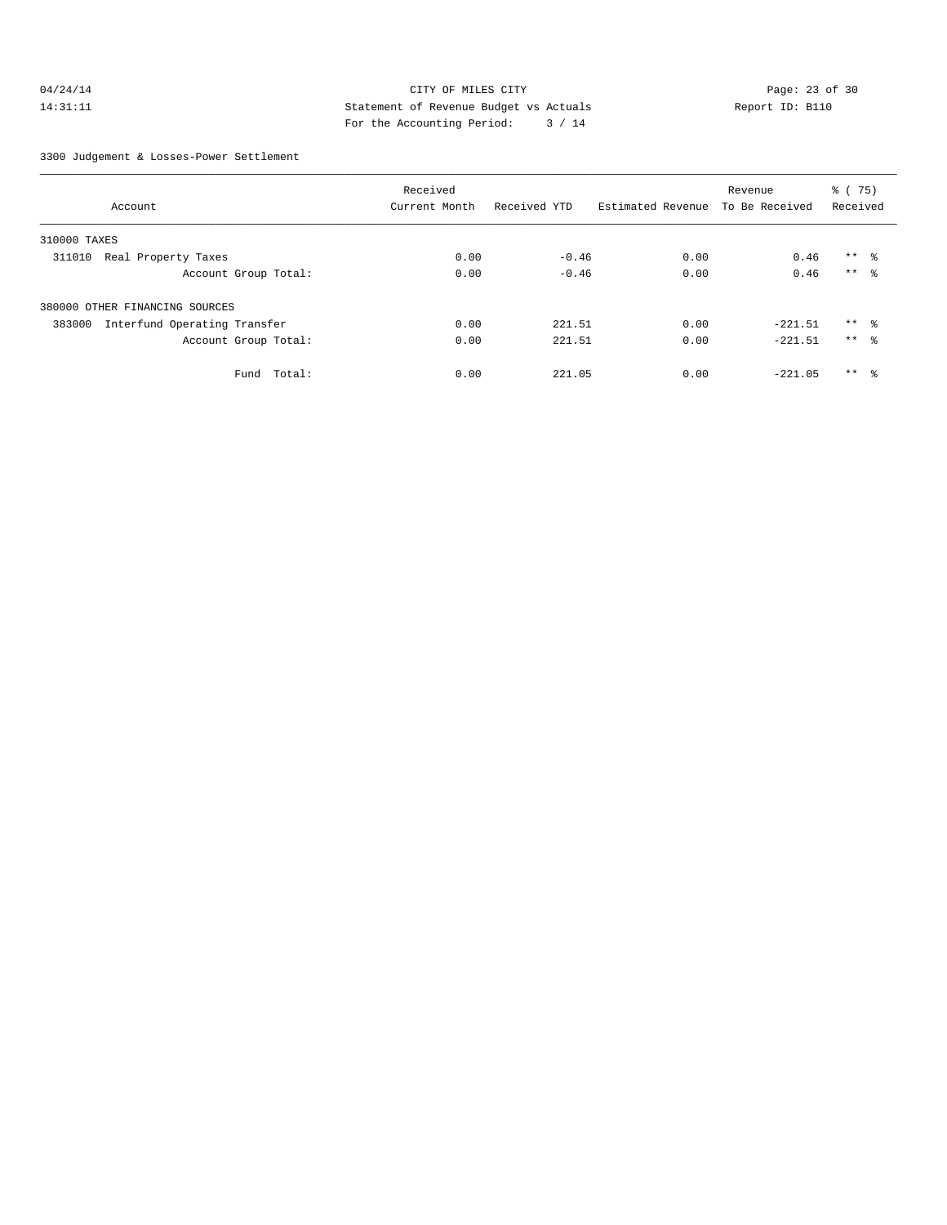# 04/24/14 Page: 23 of 30 14:31:11 Statement of Revenue Budget vs Actuals Report ID: B110 For the Accounting Period: 3 / 14

3300 Judgement & Losses-Power Settlement

|                                        | Received      |              |                   |                | % (75)          |  |
|----------------------------------------|---------------|--------------|-------------------|----------------|-----------------|--|
| Account                                | Current Month | Received YTD | Estimated Revenue | To Be Received | Received        |  |
| 310000 TAXES                           |               |              |                   |                |                 |  |
| Real Property Taxes<br>311010          | 0.00          | $-0.46$      | 0.00              | 0.46           | $***$ $\approx$ |  |
| Account Group Total:                   | 0.00          | $-0.46$      | 0.00              | 0.46           | $***$ 8         |  |
| 380000 OTHER FINANCING SOURCES         |               |              |                   |                |                 |  |
| Interfund Operating Transfer<br>383000 | 0.00          | 221.51       | 0.00              | $-221.51$      | $***$ $\approx$ |  |
| Account Group Total:                   | 0.00          | 221.51       | 0.00              | $-221.51$      | $***$ $\approx$ |  |
| Fund<br>Total:                         | 0.00          | 221.05       | 0.00              | $-221.05$      | $***$ $\approx$ |  |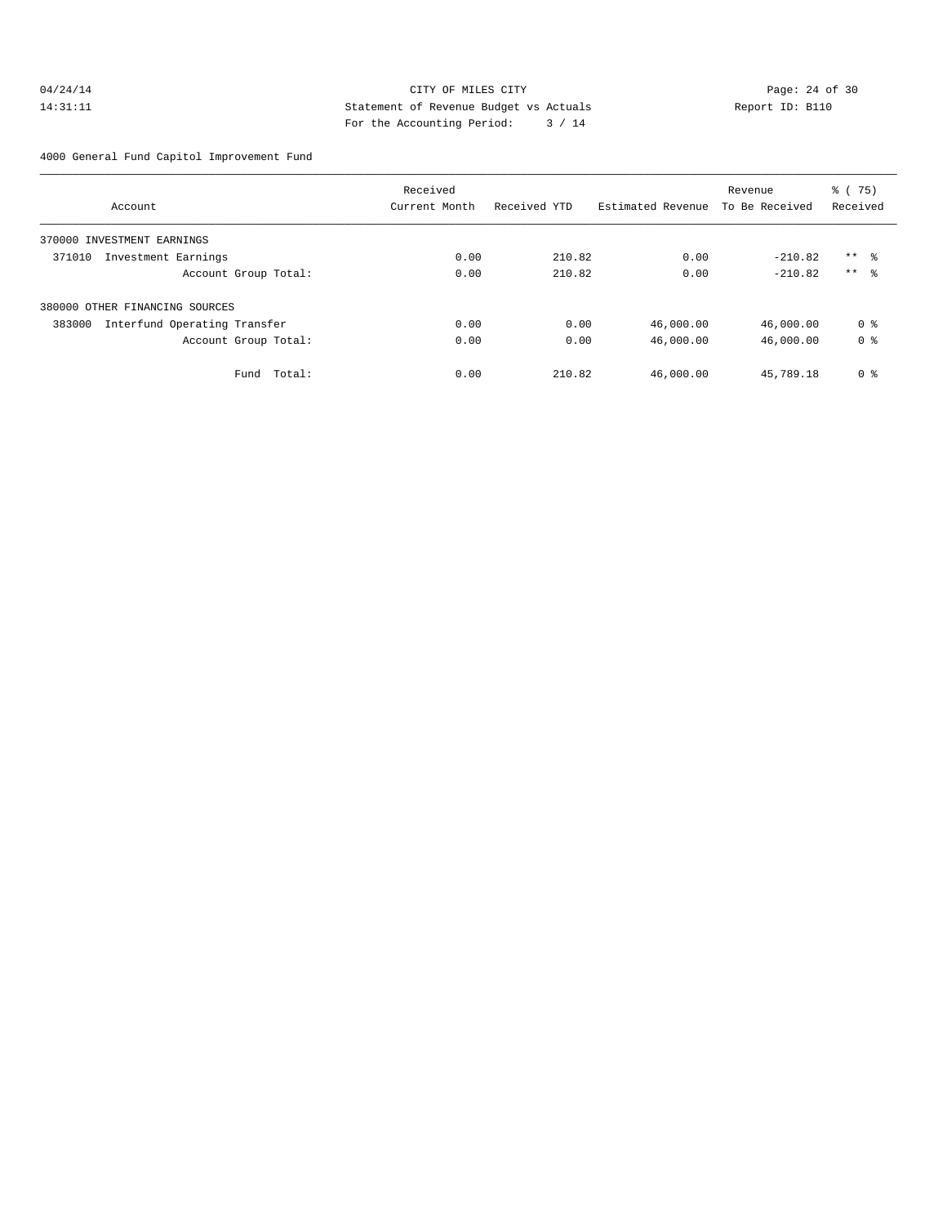# 04/24/14 Page: 24 of 30 14:31:11 Statement of Revenue Budget vs Actuals Report ID: B110 For the Accounting Period: 3 / 14

4000 General Fund Capitol Improvement Fund

|                                        | Received      |              |                   | Revenue        | % (75)         |  |
|----------------------------------------|---------------|--------------|-------------------|----------------|----------------|--|
| Account                                | Current Month | Received YTD | Estimated Revenue | To Be Received | Received       |  |
| 370000 INVESTMENT EARNINGS             |               |              |                   |                |                |  |
| 371010<br>Investment Earnings          | 0.00          | 210.82       | 0.00              | $-210.82$      | $***$ %        |  |
| Account Group Total:                   | 0.00          | 210.82       | 0.00              | $-210.82$      | $***$ 8        |  |
| 380000 OTHER FINANCING SOURCES         |               |              |                   |                |                |  |
| 383000<br>Interfund Operating Transfer | 0.00          | 0.00         | 46,000.00         | 46,000.00      | 0 <sub>8</sub> |  |
| Account Group Total:                   | 0.00          | 0.00         | 46,000.00         | 46,000.00      | 0 <sub>8</sub> |  |
| Total:<br>Fund                         | 0.00          | 210.82       | 46,000.00         | 45,789.18      | 0 <sup>8</sup> |  |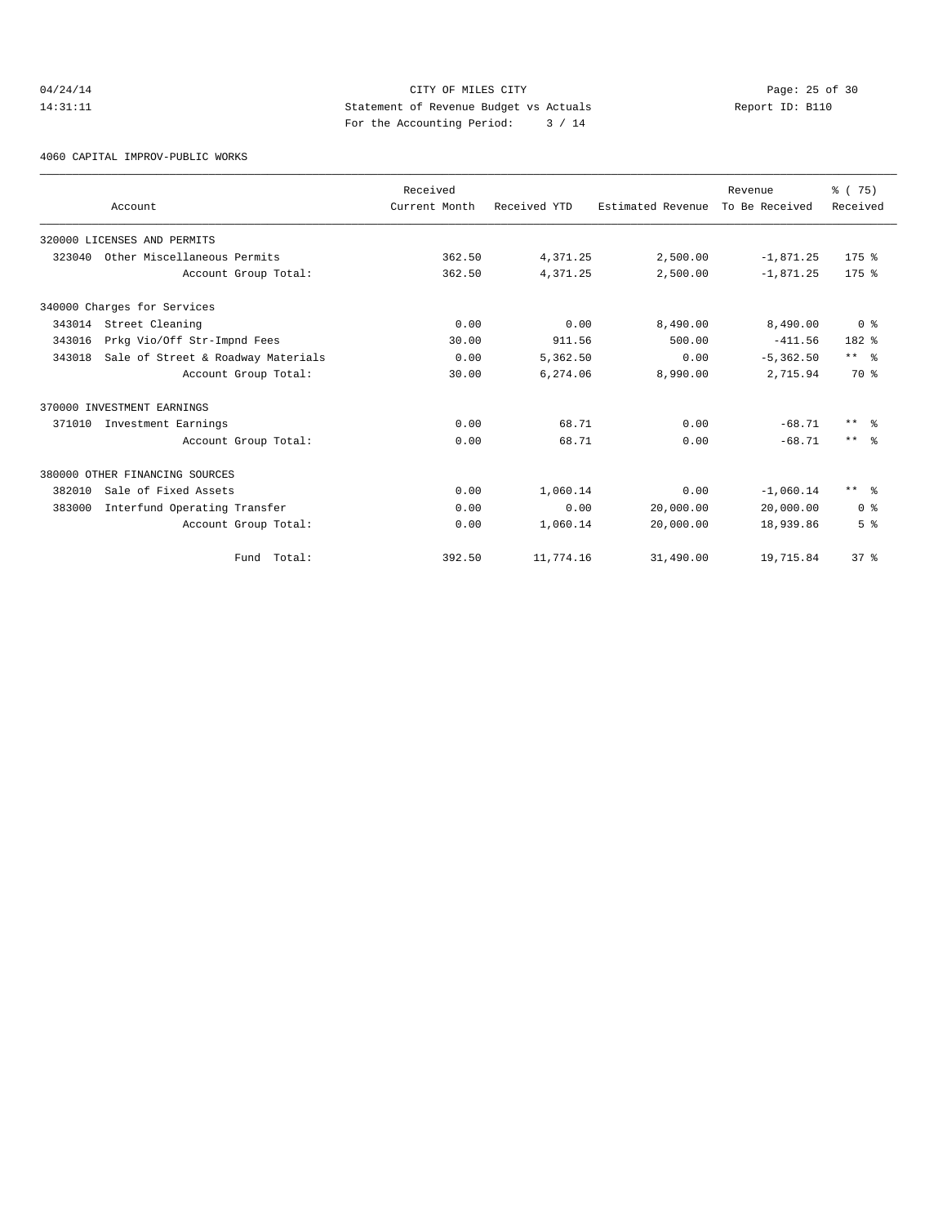# 04/24/14 Page: 25 of 30 14:31:11 Statement of Revenue Budget vs Actuals Report ID: B110 For the Accounting Period: 3 / 14

4060 CAPITAL IMPROV-PUBLIC WORKS

|        | Account                            | Received<br>Current Month | Received YTD | Estimated Revenue | Revenue<br>To Be Received | % (75)<br>Received |
|--------|------------------------------------|---------------------------|--------------|-------------------|---------------------------|--------------------|
|        |                                    |                           |              |                   |                           |                    |
|        | 320000 LICENSES AND PERMITS        |                           |              |                   |                           |                    |
| 323040 | Other Miscellaneous Permits        | 362.50                    | 4,371.25     | 2,500.00          | $-1,871.25$               | $175$ $%$          |
|        | Account Group Total:               | 362.50                    | 4,371.25     | 2,500.00          | $-1,871.25$               | $175$ $%$          |
|        | 340000 Charges for Services        |                           |              |                   |                           |                    |
| 343014 | Street Cleaning                    | 0.00                      | 0.00         | 8,490.00          | 8,490.00                  | 0 <sup>8</sup>     |
| 343016 | Prkg Vio/Off Str-Impnd Fees        | 30.00                     | 911.56       | 500.00            | $-411.56$                 | $182*$             |
| 343018 | Sale of Street & Roadway Materials | 0.00                      | 5,362.50     | 0.00              | $-5, 362.50$              | $***$ $ -$         |
|        | Account Group Total:               | 30.00                     | 6,274.06     | 8,990.00          | 2,715.94                  | 70 %               |
|        | 370000 INVESTMENT EARNINGS         |                           |              |                   |                           |                    |
| 371010 | Investment Earnings                | 0.00                      | 68.71        | 0.00              | $-68.71$                  | $***$ $ -$         |
|        | Account Group Total:               | 0.00                      | 68.71        | 0.00              | $-68.71$                  | $***$ $\approx$    |
|        | 380000 OTHER FINANCING SOURCES     |                           |              |                   |                           |                    |
| 382010 | Sale of Fixed Assets               | 0.00                      | 1,060.14     | 0.00              | $-1,060.14$               | $***$ $ -$         |
| 383000 | Interfund Operating Transfer       | 0.00                      | 0.00         | 20,000.00         | 20,000.00                 | 0 <sup>8</sup>     |
|        | Account Group Total:               | 0.00                      | 1,060.14     | 20,000.00         | 18,939.86                 | 5 <sup>8</sup>     |
|        | Fund Total:                        | 392.50                    | 11,774.16    | 31,490.00         | 19,715.84                 | 37%                |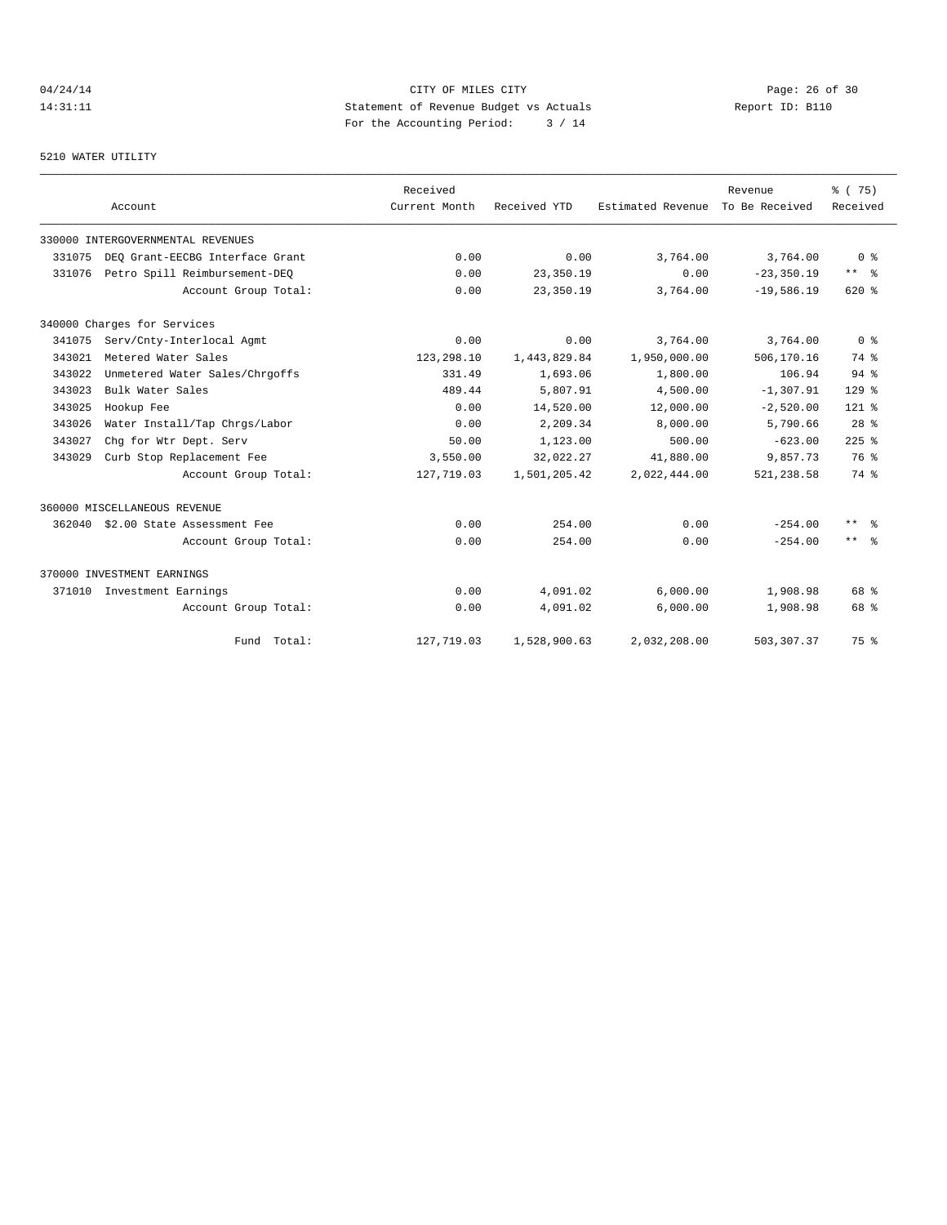# 04/24/14 Page: 26 of 30 14:31:11 Statement of Revenue Budget vs Actuals Report ID: B110 For the Accounting Period: 3 / 14

# 5210 WATER UTILITY

|        | Account                           | Received<br>Current Month | Received YTD | Estimated Revenue To Be Received | Revenue       | % (75)<br>Received      |
|--------|-----------------------------------|---------------------------|--------------|----------------------------------|---------------|-------------------------|
|        | 330000 INTERGOVERNMENTAL REVENUES |                           |              |                                  |               |                         |
| 331075 | DEO Grant-EECBG Interface Grant   | 0.00                      | 0.00         | 3,764.00                         | 3,764.00      | 0 <sup>8</sup>          |
| 331076 | Petro Spill Reimbursement-DEO     | 0.00                      | 23,350.19    | 0.00                             | $-23, 350.19$ | $***$ $=$ $\frac{6}{5}$ |
|        | Account Group Total:              | 0.00                      | 23,350.19    | 3,764.00                         | $-19,586.19$  | $620*$                  |
|        | 340000 Charges for Services       |                           |              |                                  |               |                         |
| 341075 | Serv/Cnty-Interlocal Agmt         | 0.00                      | 0.00         | 3,764.00                         | 3,764.00      | 0 <sup>8</sup>          |
| 343021 | Metered Water Sales               | 123,298.10                | 1,443,829.84 | 1,950,000.00                     | 506,170.16    | 74 %                    |
| 343022 | Unmetered Water Sales/Chrgoffs    | 331.49                    | 1,693.06     | 1,800.00                         | 106.94        | $94$ $%$                |
| 343023 | Bulk Water Sales                  | 489.44                    | 5,807.91     | 4,500.00                         | $-1, 307.91$  | $129$ %                 |
| 343025 | Hookup Fee                        | 0.00                      | 14,520.00    | 12,000.00                        | $-2,520.00$   | $121$ %                 |
| 343026 | Water Install/Tap Chrgs/Labor     | 0.00                      | 2,209.34     | 8,000.00                         | 5,790.66      | 28 <sup>8</sup>         |
| 343027 | Chg for Wtr Dept. Serv            | 50.00                     | 1,123.00     | 500.00                           | $-623.00$     | $225$ $%$               |
| 343029 | Curb Stop Replacement Fee         | 3,550.00                  | 32,022.27    | 41,880.00                        | 9,857.73      | 76 %                    |
|        | Account Group Total:              | 127,719.03                | 1,501,205.42 | 2,022,444.00                     | 521,238.58    | 74 %                    |
|        | 360000 MISCELLANEOUS REVENUE      |                           |              |                                  |               |                         |
| 362040 | \$2.00 State Assessment Fee       | 0.00                      | 254.00       | 0.00                             | $-254.00$     | $***$ $%$               |
|        | Account Group Total:              | 0.00                      | 254.00       | 0.00                             | $-254.00$     | $***$ $ -$              |
|        | 370000 INVESTMENT EARNINGS        |                           |              |                                  |               |                         |
| 371010 | Investment Earnings               | 0.00                      | 4,091.02     | 6.000.00                         | 1,908.98      | 68 %                    |
|        | Account Group Total:              | 0.00                      | 4,091.02     | 6,000.00                         | 1,908.98      | 68 %                    |
|        | Fund Total:                       | 127,719.03                | 1,528,900.63 | 2,032,208.00                     | 503, 307.37   | 75 %                    |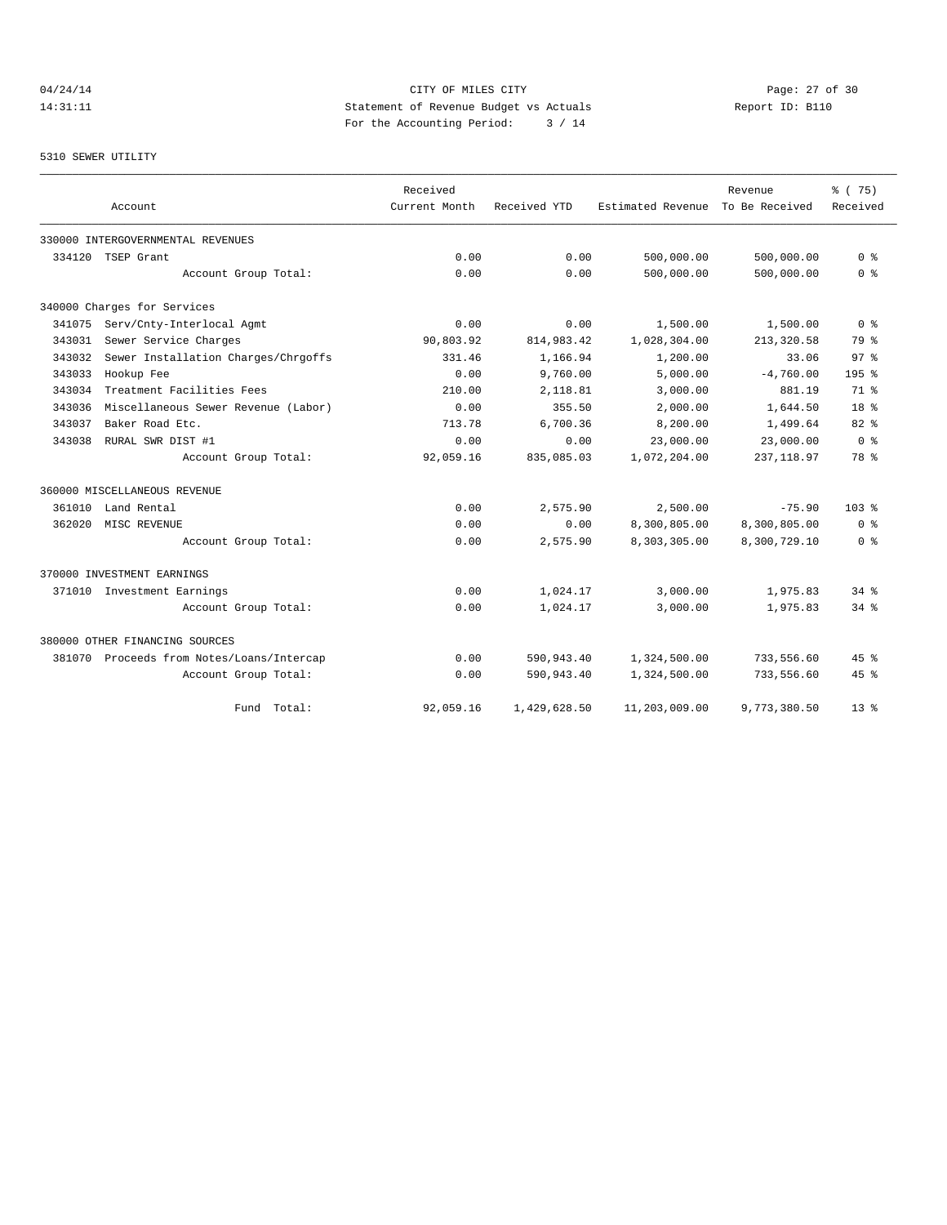# 04/24/14 Page: 27 of 30 14:31:11 Statement of Revenue Budget vs Actuals Report ID: B110 For the Accounting Period: 3 / 14

#### 5310 SEWER UTILITY

|        |                                           | Received      |              |                   | Revenue        | % (75)             |
|--------|-------------------------------------------|---------------|--------------|-------------------|----------------|--------------------|
|        | Account                                   | Current Month | Received YTD | Estimated Revenue | To Be Received | Received           |
|        | 330000 INTERGOVERNMENTAL REVENUES         |               |              |                   |                |                    |
| 334120 | TSEP Grant                                | 0.00          | 0.00         | 500,000.00        | 500,000.00     | 0 <sup>8</sup>     |
|        | Account Group Total:                      | 0.00          | 0.00         | 500,000.00        | 500,000.00     | 0 <sup>8</sup>     |
|        | 340000 Charges for Services               |               |              |                   |                |                    |
| 341075 | Serv/Cnty-Interlocal Agmt                 | 0.00          | 0.00         | 1,500.00          | 1,500.00       | 0 <sup>8</sup>     |
| 343031 | Sewer Service Charges                     | 90,803.92     | 814,983.42   | 1,028,304.00      | 213,320.58     | 79 %               |
| 343032 | Sewer Installation Charges/Chrgoffs       | 331.46        | 1,166.94     | 1,200.00          | 33.06          | 97 <sup>8</sup>    |
| 343033 | Hookup Fee                                | 0.00          | 9,760.00     | 5,000.00          | $-4,760.00$    | 195 <sub>8</sub>   |
| 343034 | Treatment Facilities Fees                 | 210.00        | 2,118.81     | 3,000.00          | 881.19         | 71.8               |
| 343036 | Miscellaneous Sewer Revenue (Labor)       | 0.00          | 355.50       | 2,000.00          | 1,644.50       | 18 <sup>8</sup>    |
| 343037 | Baker Road Etc.                           | 713.78        | 6,700.36     | 8,200.00          | 1,499.64       | 82%                |
| 343038 | RURAL SWR DIST #1                         | 0.00          | 0.00         | 23,000.00         | 23,000.00      | 0 <sup>8</sup>     |
|        | Account Group Total:                      | 92,059.16     | 835,085.03   | 1,072,204.00      | 237, 118.97    | 78 %               |
|        | 360000 MISCELLANEOUS REVENUE              |               |              |                   |                |                    |
| 361010 | Land Rental                               | 0.00          | 2,575.90     | 2,500.00          | $-75.90$       | 103 <sub>8</sub>   |
| 362020 | MISC REVENUE                              | 0.00          | 0.00         | 8,300,805.00      | 8,300,805.00   | 0 <sup>8</sup>     |
|        | Account Group Total:                      | 0.00          | 2,575.90     | 8,303,305.00      | 8,300,729.10   | 0 <sup>8</sup>     |
|        | 370000 INVESTMENT EARNINGS                |               |              |                   |                |                    |
|        | 371010 Investment Earnings                | 0.00          | 1,024.17     | 3,000.00          | 1,975.83       | $34$ $%$           |
|        | Account Group Total:                      | 0.00          | 1,024.17     | 3,000.00          | 1,975.83       | $34$ $%$           |
|        | 380000 OTHER FINANCING SOURCES            |               |              |                   |                |                    |
|        | 381070 Proceeds from Notes/Loans/Intercap | 0.00          | 590,943.40   | 1,324,500.00      | 733,556.60     | 45%                |
|        | Account Group Total:                      | 0.00          | 590,943.40   | 1,324,500.00      | 733,556.60     | $45$ $\frac{6}{3}$ |
|        | Fund Total:                               | 92,059.16     | 1,429,628.50 | 11,203,009.00     | 9,773,380.50   | $13*$              |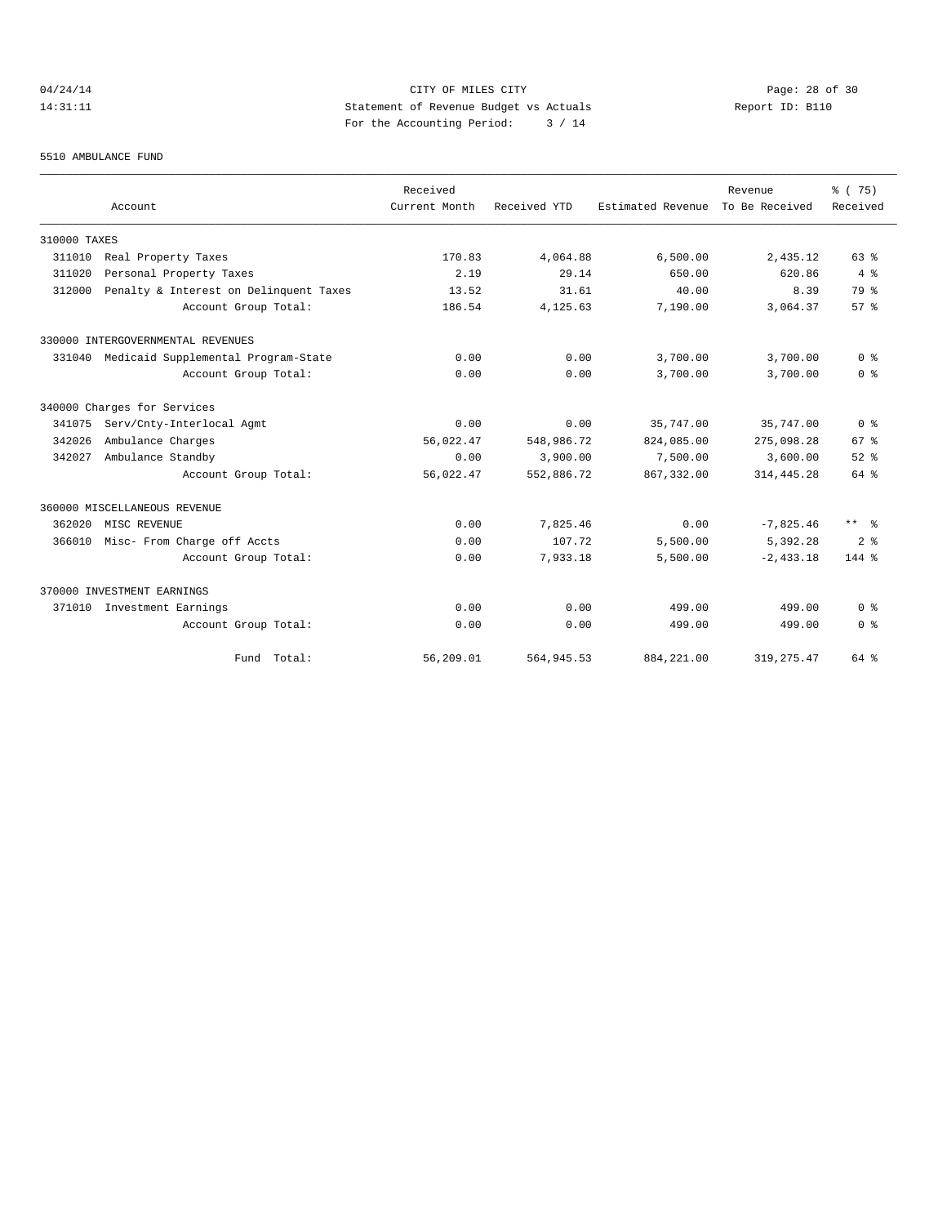# 04/24/14 Page: 28 of 30 14:31:11 Statement of Revenue Budget vs Actuals Report ID: B110 For the Accounting Period: 3 / 14

#### 5510 AMBULANCE FUND

|              | Account                                | Received<br>Current Month | Received YTD | Estimated Revenue | Revenue<br>To Be Received | % (75)<br>Received   |
|--------------|----------------------------------------|---------------------------|--------------|-------------------|---------------------------|----------------------|
|              |                                        |                           |              |                   |                           |                      |
| 310000 TAXES |                                        |                           |              |                   |                           |                      |
| 311010       | Real Property Taxes                    | 170.83                    | 4,064.88     | 6,500.00          | 2,435.12                  | 63%                  |
| 311020       | Personal Property Taxes                | 2.19                      | 29.14        | 650.00            | 620.86                    | $4 \text{ }$         |
| 312000       | Penalty & Interest on Delinquent Taxes | 13.52                     | 31.61        | 40.00             | 8.39                      | 79 %                 |
|              | Account Group Total:                   | 186.54                    | 4.125.63     | 7,190.00          | 3,064.37                  | 57%                  |
|              | 330000 INTERGOVERNMENTAL REVENUES      |                           |              |                   |                           |                      |
| 331040       | Medicaid Supplemental Program-State    | 0.00                      | 0.00         | 3,700.00          | 3,700.00                  | 0 <sup>8</sup>       |
|              | Account Group Total:                   | 0.00                      | 0.00         | 3,700.00          | 3,700.00                  | 0 <sup>8</sup>       |
|              | 340000 Charges for Services            |                           |              |                   |                           |                      |
| 341075       | Serv/Cnty-Interlocal Agmt              | 0.00                      | 0.00         | 35,747.00         | 35,747.00                 | 0 <sup>8</sup>       |
| 342026       | Ambulance Charges                      | 56,022.47                 | 548,986.72   | 824,085.00        | 275,098.28                | 67 <sup>8</sup>      |
| 342027       | Ambulance Standby                      | 0.00                      | 3,900.00     | 7,500.00          | 3,600.00                  | $52$ $%$             |
|              | Account Group Total:                   | 56,022.47                 | 552,886.72   | 867, 332, 00      | 314, 445.28               | 64 %                 |
|              | 360000 MISCELLANEOUS REVENUE           |                           |              |                   |                           |                      |
| 362020       | MISC REVENUE                           | 0.00                      | 7,825.46     | 0.00              | $-7,825.46$               | $***$ $ \frac{6}{9}$ |
| 366010       | Misc- From Charge off Accts            | 0.00                      | 107.72       | 5,500.00          | 5,392.28                  | 2 <sup>8</sup>       |
|              | Account Group Total:                   | 0.00                      | 7,933.18     | 5,500.00          | $-2.433.18$               | 144 %                |
|              | 370000 INVESTMENT EARNINGS             |                           |              |                   |                           |                      |
| 371010       | Investment Earnings                    | 0.00                      | 0.00         | 499.00            | 499.00                    | 0 <sup>8</sup>       |
|              | Account Group Total:                   | 0.00                      | 0.00         | 499.00            | 499.00                    | 0 <sup>8</sup>       |
|              | Fund Total:                            | 56,209.01                 | 564,945.53   | 884, 221.00       | 319, 275.47               | 64 %                 |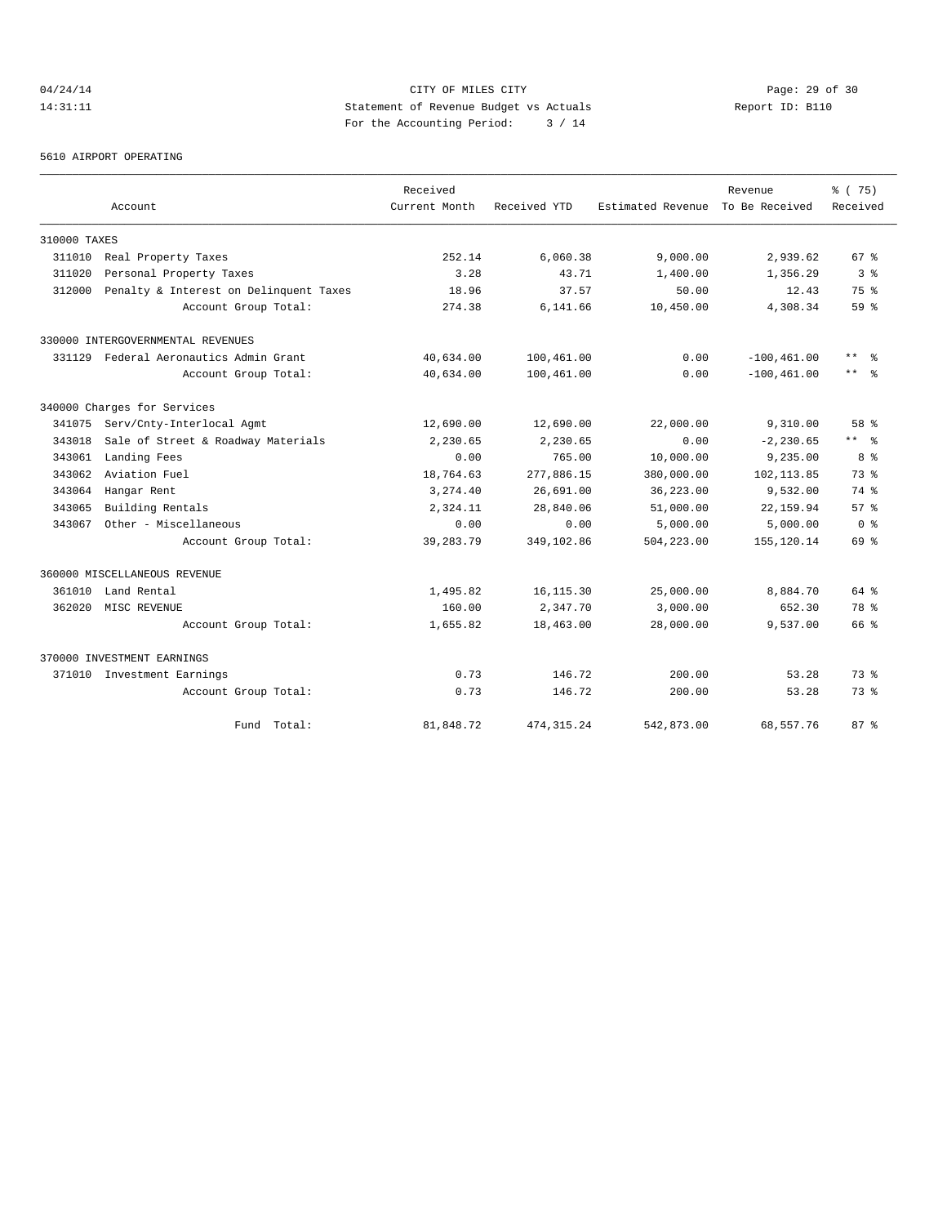# 04/24/14 Page: 29 of 30 14:31:11 Statement of Revenue Budget vs Actuals Report ID: B110 For the Accounting Period: 3 / 14

5610 AIRPORT OPERATING

|              |                                        | Received      |              |                                  | Revenue        | 8 (75)              |
|--------------|----------------------------------------|---------------|--------------|----------------------------------|----------------|---------------------|
|              | Account                                | Current Month | Received YTD | Estimated Revenue To Be Received |                | Received            |
| 310000 TAXES |                                        |               |              |                                  |                |                     |
| 311010       | Real Property Taxes                    | 252.14        | 6,060.38     | 9,000.00                         | 2,939.62       | 67 <sup>8</sup>     |
| 311020       | Personal Property Taxes                | 3.28          | 43.71        | 1,400.00                         | 1,356.29       | 3 <sup>8</sup>      |
| 312000       | Penalty & Interest on Delinquent Taxes | 18.96         | 37.57        | 50.00                            | 12.43          | 75 %                |
|              | Account Group Total:                   | 274.38        | 6,141.66     | 10,450.00                        | 4,308.34       | 59 %                |
|              | 330000 INTERGOVERNMENTAL REVENUES      |               |              |                                  |                |                     |
|              | 331129 Federal Aeronautics Admin Grant | 40,634.00     | 100,461.00   | 0.00                             | $-100, 461.00$ | $***$<br>ু≳         |
|              | Account Group Total:                   | 40,634.00     | 100,461.00   | 0.00                             | $-100, 461.00$ | $\star\star$<br>ু ≳ |
|              | 340000 Charges for Services            |               |              |                                  |                |                     |
| 341075       | Serv/Cnty-Interlocal Agmt              | 12,690.00     | 12,690.00    | 22,000.00                        | 9,310.00       | 58 %                |
| 343018       | Sale of Street & Roadway Materials     | 2,230.65      | 2,230.65     | 0.00                             | $-2, 230.65$   | $***$ %             |
| 343061       | Landing Fees                           | 0.00          | 765.00       | 10,000.00                        | 9,235.00       | 8 %                 |
| 343062       | Aviation Fuel                          | 18,764.63     | 277,886.15   | 380,000.00                       | 102, 113.85    | 73.8                |
| 343064       | Hangar Rent                            | 3,274.40      | 26,691.00    | 36,223.00                        | 9,532.00       | 74 %                |
| 343065       | Building Rentals                       | 2,324.11      | 28,840.06    | 51,000.00                        | 22,159.94      | 57%                 |
| 343067       | Other - Miscellaneous                  | 0.00          | 0.00         | 5,000.00                         | 5,000.00       | 0 <sup>8</sup>      |
|              | Account Group Total:                   | 39, 283. 79   | 349,102.86   | 504,223.00                       | 155, 120.14    | 69 %                |
|              | 360000 MISCELLANEOUS REVENUE           |               |              |                                  |                |                     |
| 361010       | Land Rental                            | 1,495.82      | 16, 115.30   | 25,000.00                        | 8,884.70       | 64 %                |
| 362020       | MISC REVENUE                           | 160.00        | 2,347.70     | 3,000.00                         | 652.30         | 78 %                |
|              | Account Group Total:                   | 1,655.82      | 18,463.00    | 28,000.00                        | 9,537.00       | 66 %                |
|              | 370000 INVESTMENT EARNINGS             |               |              |                                  |                |                     |
|              | 371010 Investment Earnings             | 0.73          | 146.72       | 200.00                           | 53.28          | 73%                 |
|              | Account Group Total:                   | 0.73          | 146.72       | 200.00                           | 53.28          | 73.8                |
|              | Fund Total:                            | 81,848.72     | 474, 315.24  | 542,873.00                       | 68,557.76      | 87 <sup>8</sup>     |